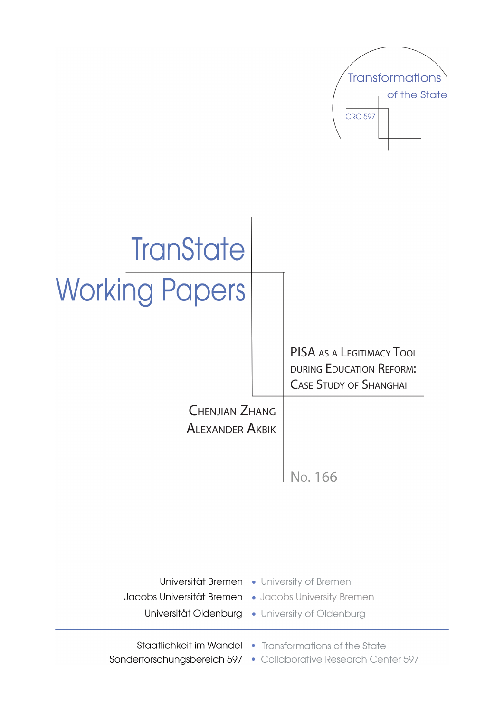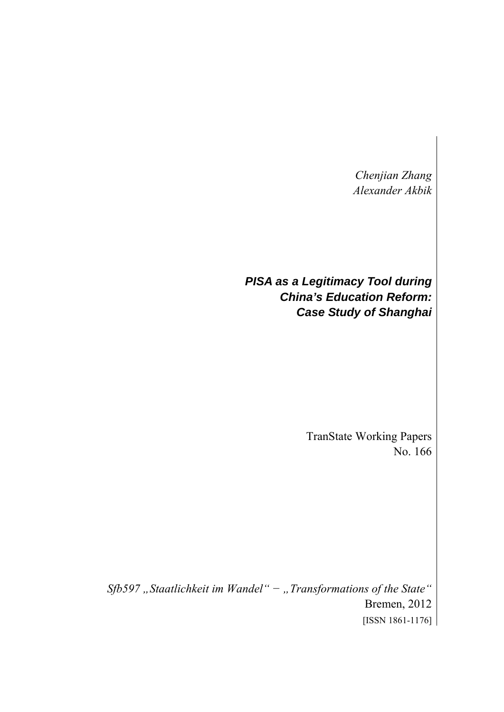*Chenjian Zhang Alexander Akbik* 

*PISA as a Legitimacy Tool during China's Education Reform: Case Study of Shanghai* 

> TranState Working Papers No. 166

*Sfb597 "Staatlichkeit im Wandel" − "Transformations of the State"*  Bremen, 2012 [ISSN 1861-1176]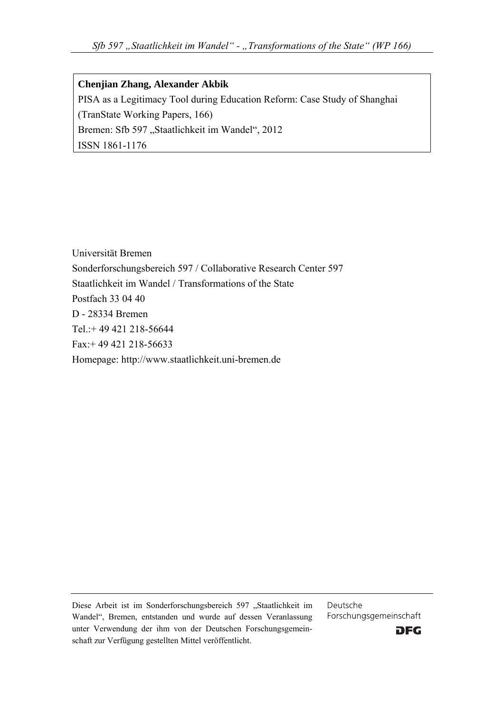**Chenjian Zhang, Alexander Akbik**  PISA as a Legitimacy Tool during Education Reform: Case Study of Shanghai (TranState Working Papers, 166) Bremen: Sfb 597 "Staatlichkeit im Wandel", 2012 ISSN 1861-1176

Universität Bremen Sonderforschungsbereich 597 / Collaborative Research Center 597 Staatlichkeit im Wandel / Transformations of the State Postfach 33 04 40 D - 28334 Bremen Tel.:+ 49 421 218-56644 Fax:+ 49 421 218-56633 Homepage: http://www.staatlichkeit.uni-bremen.de

Diese Arbeit ist im Sonderforschungsbereich 597 "Staatlichkeit im Wandel", Bremen, entstanden und wurde auf dessen Veranlassung unter Verwendung der ihm von der Deutschen Forschungsgemeinschaft zur Verfügung gestellten Mittel veröffentlicht.

Deutsche Forschungsgemeinschaft

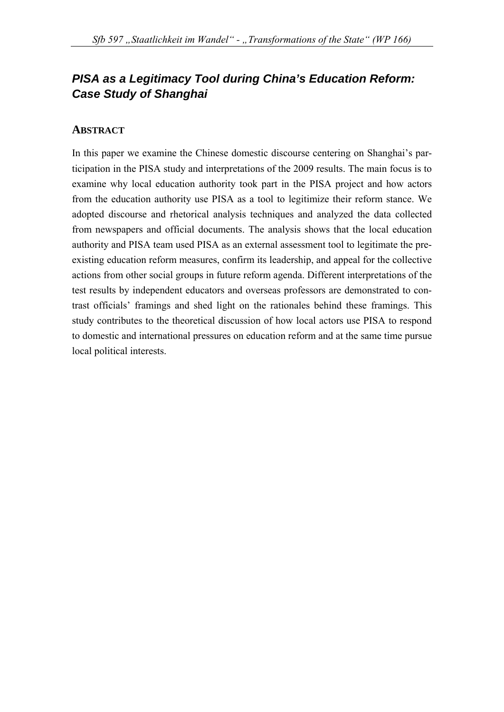# *PISA as a Legitimacy Tool during China's Education Reform: Case Study of Shanghai*

### **ABSTRACT**

In this paper we examine the Chinese domestic discourse centering on Shanghai's participation in the PISA study and interpretations of the 2009 results. The main focus is to examine why local education authority took part in the PISA project and how actors from the education authority use PISA as a tool to legitimize their reform stance. We adopted discourse and rhetorical analysis techniques and analyzed the data collected from newspapers and official documents. The analysis shows that the local education authority and PISA team used PISA as an external assessment tool to legitimate the preexisting education reform measures, confirm its leadership, and appeal for the collective actions from other social groups in future reform agenda. Different interpretations of the test results by independent educators and overseas professors are demonstrated to contrast officials' framings and shed light on the rationales behind these framings. This study contributes to the theoretical discussion of how local actors use PISA to respond to domestic and international pressures on education reform and at the same time pursue local political interests.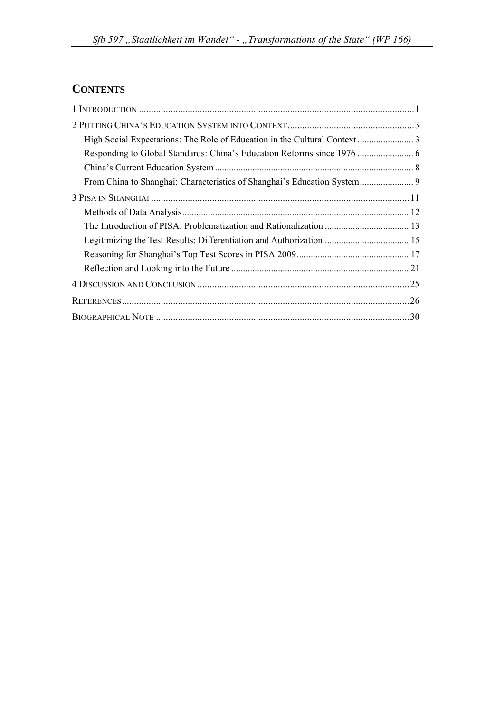# **CONTENTS**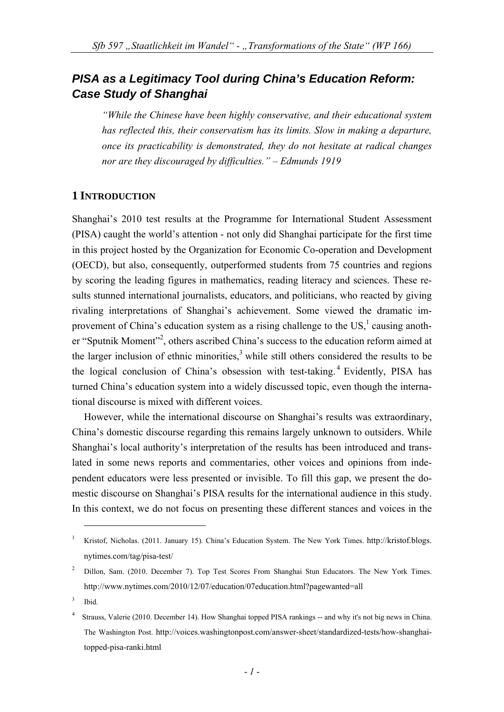# *PISA as a Legitimacy Tool during China's Education Reform: Case Study of Shanghai*

*"While the Chinese have been highly conservative, and their educational system has reflected this, their conservatism has its limits. Slow in making a departure, once its practicability is demonstrated, they do not hesitate at radical changes nor are they discouraged by difficulties." – Edmunds 1919* 

#### **1 INTRODUCTION**

Shanghai's 2010 test results at the Programme for International Student Assessment (PISA) caught the world's attention - not only did Shanghai participate for the first time in this project hosted by the Organization for Economic Co-operation and Development (OECD), but also, consequently, outperformed students from 75 countries and regions by scoring the leading figures in mathematics, reading literacy and sciences. These results stunned international journalists, educators, and politicians, who reacted by giving rivaling interpretations of Shanghai's achievement. Some viewed the dramatic improvement of China's education system as a rising challenge to the  $US<sub>1</sub><sup>1</sup>$  causing another "Sputnik Moment"<sup>2</sup>, others ascribed China's success to the education reform aimed at the larger inclusion of ethnic minorities, $3$  while still others considered the results to be the logical conclusion of China's obsession with test-taking.<sup>4</sup> Evidently, PISA has turned China's education system into a widely discussed topic, even though the international discourse is mixed with different voices.

However, while the international discourse on Shanghai's results was extraordinary, China's domestic discourse regarding this remains largely unknown to outsiders. While Shanghai's local authority's interpretation of the results has been introduced and translated in some news reports and commentaries, other voices and opinions from independent educators were less presented or invisible. To fill this gap, we present the domestic discourse on Shanghai's PISA results for the international audience in this study. In this context, we do not focus on presenting these different stances and voices in the

<sup>1</sup> Kristof, Nicholas. (2011. January 15). China's Education System. The New York Times. http://kristof.blogs. nytimes.com/tag/pisa-test/

<sup>2</sup> Dillon, Sam. (2010. December 7). Top Test Scores From Shanghai Stun Educators. The New York Times. http://www.nytimes.com/2010/12/07/education/07education.html?pagewanted=all

<sup>3</sup> Ibid.

<sup>4</sup> Strauss, Valerie (2010. December 14). How Shanghai topped PISA rankings -- and why it's not big news in China. The Washington Post. http://voices.washingtonpost.com/answer-sheet/standardized-tests/how-shanghaitopped-pisa-ranki.html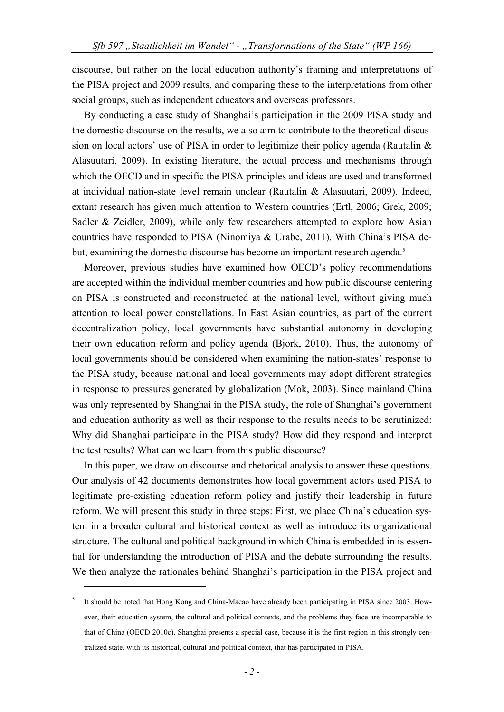discourse, but rather on the local education authority's framing and interpretations of the PISA project and 2009 results, and comparing these to the interpretations from other social groups, such as independent educators and overseas professors.

By conducting a case study of Shanghai's participation in the 2009 PISA study and the domestic discourse on the results, we also aim to contribute to the theoretical discussion on local actors' use of PISA in order to legitimize their policy agenda (Rautalin & Alasuutari, 2009). In existing literature, the actual process and mechanisms through which the OECD and in specific the PISA principles and ideas are used and transformed at individual nation-state level remain unclear (Rautalin & Alasuutari, 2009). Indeed, extant research has given much attention to Western countries (Ertl, 2006; Grek, 2009; Sadler & Zeidler, 2009), while only few researchers attempted to explore how Asian countries have responded to PISA (Ninomiya & Urabe, 2011). With China's PISA debut, examining the domestic discourse has become an important research agenda.<sup>5</sup>

Moreover, previous studies have examined how OECD's policy recommendations are accepted within the individual member countries and how public discourse centering on PISA is constructed and reconstructed at the national level, without giving much attention to local power constellations. In East Asian countries, as part of the current decentralization policy, local governments have substantial autonomy in developing their own education reform and policy agenda (Bjork, 2010). Thus, the autonomy of local governments should be considered when examining the nation-states' response to the PISA study, because national and local governments may adopt different strategies in response to pressures generated by globalization (Mok, 2003). Since mainland China was only represented by Shanghai in the PISA study, the role of Shanghai's government and education authority as well as their response to the results needs to be scrutinized: Why did Shanghai participate in the PISA study? How did they respond and interpret the test results? What can we learn from this public discourse?

In this paper, we draw on discourse and rhetorical analysis to answer these questions. Our analysis of 42 documents demonstrates how local government actors used PISA to legitimate pre-existing education reform policy and justify their leadership in future reform. We will present this study in three steps: First, we place China's education system in a broader cultural and historical context as well as introduce its organizational structure. The cultural and political background in which China is embedded in is essential for understanding the introduction of PISA and the debate surrounding the results. We then analyze the rationales behind Shanghai's participation in the PISA project and

<sup>5</sup> It should be noted that Hong Kong and China-Macao have already been participating in PISA since 2003. However, their education system, the cultural and political contexts, and the problems they face are incomparable to that of China (OECD 2010c). Shanghai presents a special case, because it is the first region in this strongly centralized state, with its historical, cultural and political context, that has participated in PISA.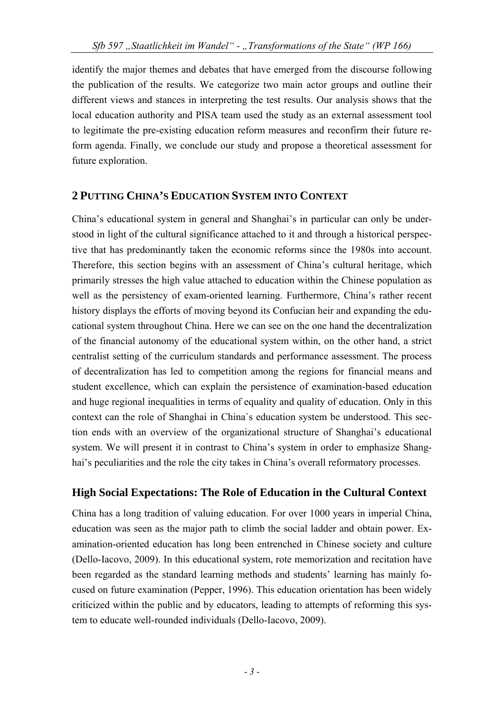identify the major themes and debates that have emerged from the discourse following the publication of the results. We categorize two main actor groups and outline their different views and stances in interpreting the test results. Our analysis shows that the local education authority and PISA team used the study as an external assessment tool to legitimate the pre-existing education reform measures and reconfirm their future reform agenda. Finally, we conclude our study and propose a theoretical assessment for future exploration.

### **2 PUTTING CHINA'S EDUCATION SYSTEM INTO CONTEXT**

China's educational system in general and Shanghai's in particular can only be understood in light of the cultural significance attached to it and through a historical perspective that has predominantly taken the economic reforms since the 1980s into account. Therefore, this section begins with an assessment of China's cultural heritage, which primarily stresses the high value attached to education within the Chinese population as well as the persistency of exam-oriented learning. Furthermore, China's rather recent history displays the efforts of moving beyond its Confucian heir and expanding the educational system throughout China. Here we can see on the one hand the decentralization of the financial autonomy of the educational system within, on the other hand, a strict centralist setting of the curriculum standards and performance assessment. The process of decentralization has led to competition among the regions for financial means and student excellence, which can explain the persistence of examination-based education and huge regional inequalities in terms of equality and quality of education. Only in this context can the role of Shanghai in China`s education system be understood. This section ends with an overview of the organizational structure of Shanghai's educational system. We will present it in contrast to China's system in order to emphasize Shanghai's peculiarities and the role the city takes in China's overall reformatory processes.

### **High Social Expectations: The Role of Education in the Cultural Context**

China has a long tradition of valuing education. For over 1000 years in imperial China, education was seen as the major path to climb the social ladder and obtain power. Examination-oriented education has long been entrenched in Chinese society and culture (Dello-Iacovo, 2009). In this educational system, rote memorization and recitation have been regarded as the standard learning methods and students' learning has mainly focused on future examination (Pepper, 1996). This education orientation has been widely criticized within the public and by educators, leading to attempts of reforming this system to educate well-rounded individuals (Dello-Iacovo, 2009).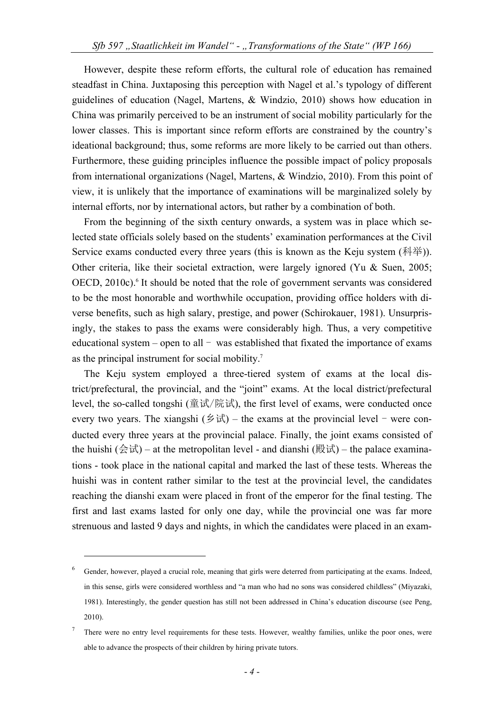However, despite these reform efforts, the cultural role of education has remained steadfast in China. Juxtaposing this perception with Nagel et al.'s typology of different guidelines of education (Nagel, Martens, & Windzio, 2010) shows how education in China was primarily perceived to be an instrument of social mobility particularly for the lower classes. This is important since reform efforts are constrained by the country's ideational background; thus, some reforms are more likely to be carried out than others. Furthermore, these guiding principles influence the possible impact of policy proposals from international organizations (Nagel, Martens, & Windzio, 2010). From this point of view, it is unlikely that the importance of examinations will be marginalized solely by internal efforts, nor by international actors, but rather by a combination of both.

From the beginning of the sixth century onwards, a system was in place which selected state officials solely based on the students' examination performances at the Civil Service exams conducted every three years (this is known as the Keju system (科举)). Other criteria, like their societal extraction, were largely ignored (Yu & Suen, 2005; OECD, 2010c).<sup>6</sup> It should be noted that the role of government servants was considered to be the most honorable and worthwhile occupation, providing office holders with diverse benefits, such as high salary, prestige, and power (Schirokauer, 1981). Unsurprisingly, the stakes to pass the exams were considerably high. Thus, a very competitive educational system – open to all – was established that fixated the importance of exams as the principal instrument for social mobility.<sup>7</sup>

The Keju system employed a three-tiered system of exams at the local district/prefectural, the provincial, and the "joint" exams. At the local district/prefectural level, the so-called tongshi (童试/院试), the first level of exams, were conducted once every two years. The xiangshi ( $\oint \vec{x}$ ) – the exams at the provincial level – were conducted every three years at the provincial palace. Finally, the joint exams consisted of the huishi  $(\triangle \forall \vec{k})$  – at the metropolitan level - and dianshi (殿试) – the palace examinations - took place in the national capital and marked the last of these tests. Whereas the huishi was in content rather similar to the test at the provincial level, the candidates reaching the dianshi exam were placed in front of the emperor for the final testing. The first and last exams lasted for only one day, while the provincial one was far more strenuous and lasted 9 days and nights, in which the candidates were placed in an exam-

<sup>6</sup> Gender, however, played a crucial role, meaning that girls were deterred from participating at the exams. Indeed, in this sense, girls were considered worthless and "a man who had no sons was considered childless" (Miyazaki, 1981). Interestingly, the gender question has still not been addressed in China's education discourse (see Peng, 2010).

<sup>7</sup> There were no entry level requirements for these tests. However, wealthy families, unlike the poor ones, were able to advance the prospects of their children by hiring private tutors.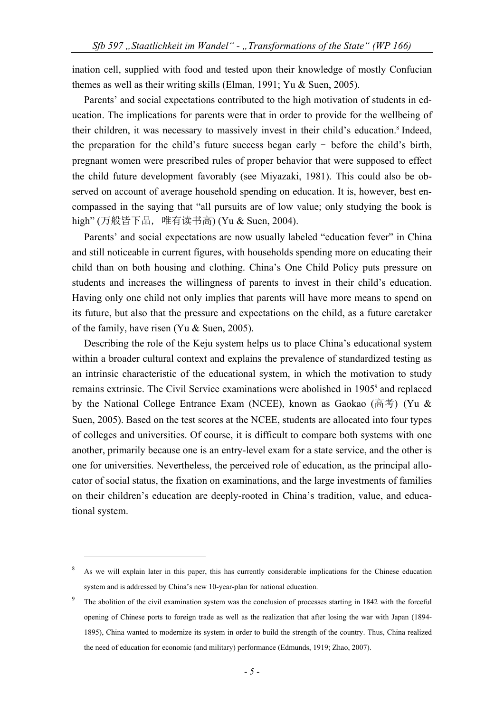ination cell, supplied with food and tested upon their knowledge of mostly Confucian themes as well as their writing skills (Elman, 1991; Yu & Suen, 2005).

Parents' and social expectations contributed to the high motivation of students in education. The implications for parents were that in order to provide for the wellbeing of their children, it was necessary to massively invest in their child's education.<sup>8</sup> Indeed, the preparation for the child's future success began early - before the child's birth, pregnant women were prescribed rules of proper behavior that were supposed to effect the child future development favorably (see Miyazaki, 1981). This could also be observed on account of average household spending on education. It is, however, best encompassed in the saying that "all pursuits are of low value; only studying the book is high" (万般皆下品, 唯有读书高) (Yu & Suen, 2004).

Parents' and social expectations are now usually labeled "education fever" in China and still noticeable in current figures, with households spending more on educating their child than on both housing and clothing. China's One Child Policy puts pressure on students and increases the willingness of parents to invest in their child's education. Having only one child not only implies that parents will have more means to spend on its future, but also that the pressure and expectations on the child, as a future caretaker of the family, have risen (Yu & Suen, 2005).

Describing the role of the Keju system helps us to place China's educational system within a broader cultural context and explains the prevalence of standardized testing as an intrinsic characteristic of the educational system, in which the motivation to study remains extrinsic. The Civil Service examinations were abolished in 1905<sup>9</sup> and replaced by the National College Entrance Exam (NCEE), known as Gaokao (高考) (Yu & Suen, 2005). Based on the test scores at the NCEE, students are allocated into four types of colleges and universities. Of course, it is difficult to compare both systems with one another, primarily because one is an entry-level exam for a state service, and the other is one for universities. Nevertheless, the perceived role of education, as the principal allocator of social status, the fixation on examinations, and the large investments of families on their children's education are deeply-rooted in China's tradition, value, and educational system.

<sup>8</sup> As we will explain later in this paper, this has currently considerable implications for the Chinese education system and is addressed by China's new 10-year-plan for national education.

<sup>9</sup> The abolition of the civil examination system was the conclusion of processes starting in 1842 with the forceful opening of Chinese ports to foreign trade as well as the realization that after losing the war with Japan (1894- 1895), China wanted to modernize its system in order to build the strength of the country. Thus, China realized the need of education for economic (and military) performance (Edmunds, 1919; Zhao, 2007).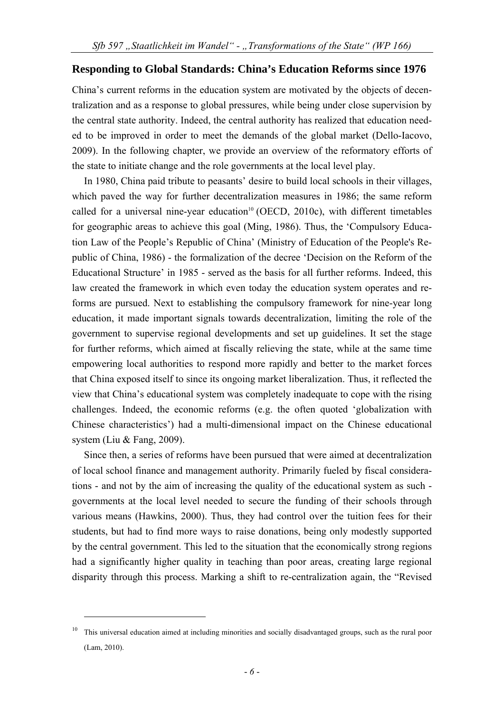#### **Responding to Global Standards: China's Education Reforms since 1976**

China's current reforms in the education system are motivated by the objects of decentralization and as a response to global pressures, while being under close supervision by the central state authority. Indeed, the central authority has realized that education needed to be improved in order to meet the demands of the global market (Dello-Iacovo, 2009). In the following chapter, we provide an overview of the reformatory efforts of the state to initiate change and the role governments at the local level play.

In 1980, China paid tribute to peasants' desire to build local schools in their villages, which paved the way for further decentralization measures in 1986; the same reform called for a universal nine-year education<sup>10</sup> (OECD, 2010c), with different timetables for geographic areas to achieve this goal (Ming, 1986). Thus, the 'Compulsory Education Law of the People's Republic of China' (Ministry of Education of the People's Republic of China, 1986) - the formalization of the decree 'Decision on the Reform of the Educational Structure' in 1985 - served as the basis for all further reforms. Indeed, this law created the framework in which even today the education system operates and reforms are pursued. Next to establishing the compulsory framework for nine-year long education, it made important signals towards decentralization, limiting the role of the government to supervise regional developments and set up guidelines. It set the stage for further reforms, which aimed at fiscally relieving the state, while at the same time empowering local authorities to respond more rapidly and better to the market forces that China exposed itself to since its ongoing market liberalization. Thus, it reflected the view that China's educational system was completely inadequate to cope with the rising challenges. Indeed, the economic reforms (e.g. the often quoted 'globalization with Chinese characteristics') had a multi-dimensional impact on the Chinese educational system (Liu & Fang, 2009).

Since then, a series of reforms have been pursued that were aimed at decentralization of local school finance and management authority. Primarily fueled by fiscal considerations - and not by the aim of increasing the quality of the educational system as such governments at the local level needed to secure the funding of their schools through various means (Hawkins, 2000). Thus, they had control over the tuition fees for their students, but had to find more ways to raise donations, being only modestly supported by the central government. This led to the situation that the economically strong regions had a significantly higher quality in teaching than poor areas, creating large regional disparity through this process. Marking a shift to re-centralization again, the "Revised

<sup>10</sup> This universal education aimed at including minorities and socially disadvantaged groups, such as the rural poor (Lam, 2010).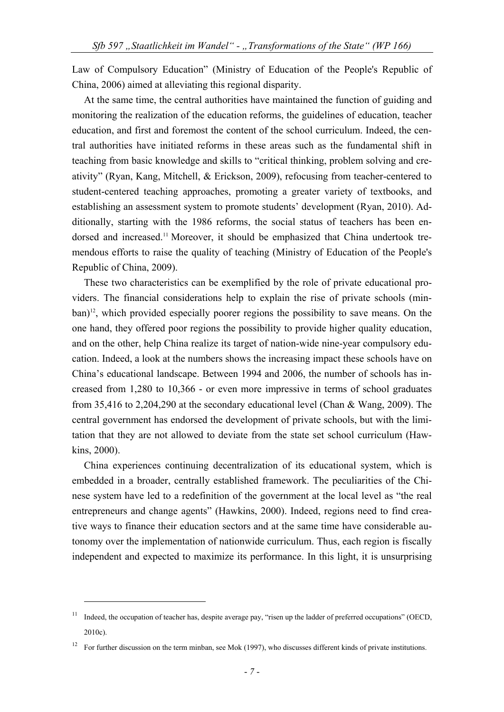Law of Compulsory Education" (Ministry of Education of the People's Republic of China, 2006) aimed at alleviating this regional disparity.

At the same time, the central authorities have maintained the function of guiding and monitoring the realization of the education reforms, the guidelines of education, teacher education, and first and foremost the content of the school curriculum. Indeed, the central authorities have initiated reforms in these areas such as the fundamental shift in teaching from basic knowledge and skills to "critical thinking, problem solving and creativity" (Ryan, Kang, Mitchell, & Erickson, 2009), refocusing from teacher-centered to student-centered teaching approaches, promoting a greater variety of textbooks, and establishing an assessment system to promote students' development (Ryan, 2010). Additionally, starting with the 1986 reforms, the social status of teachers has been endorsed and increased.<sup>11</sup> Moreover, it should be emphasized that China undertook tremendous efforts to raise the quality of teaching (Ministry of Education of the People's Republic of China, 2009).

These two characteristics can be exemplified by the role of private educational providers. The financial considerations help to explain the rise of private schools (minban)<sup>12</sup>, which provided especially poorer regions the possibility to save means. On the one hand, they offered poor regions the possibility to provide higher quality education, and on the other, help China realize its target of nation-wide nine-year compulsory education. Indeed, a look at the numbers shows the increasing impact these schools have on China's educational landscape. Between 1994 and 2006, the number of schools has increased from 1,280 to 10,366 - or even more impressive in terms of school graduates from 35,416 to 2,204,290 at the secondary educational level (Chan & Wang, 2009). The central government has endorsed the development of private schools, but with the limitation that they are not allowed to deviate from the state set school curriculum (Hawkins, 2000).

China experiences continuing decentralization of its educational system, which is embedded in a broader, centrally established framework. The peculiarities of the Chinese system have led to a redefinition of the government at the local level as "the real entrepreneurs and change agents" (Hawkins, 2000). Indeed, regions need to find creative ways to finance their education sectors and at the same time have considerable autonomy over the implementation of nationwide curriculum. Thus, each region is fiscally independent and expected to maximize its performance. In this light, it is unsurprising

<sup>&</sup>lt;sup>11</sup> Indeed, the occupation of teacher has, despite average pay, "risen up the ladder of preferred occupations" (OECD, 2010c).

<sup>12</sup> For further discussion on the term minban, see Mok (1997), who discusses different kinds of private institutions.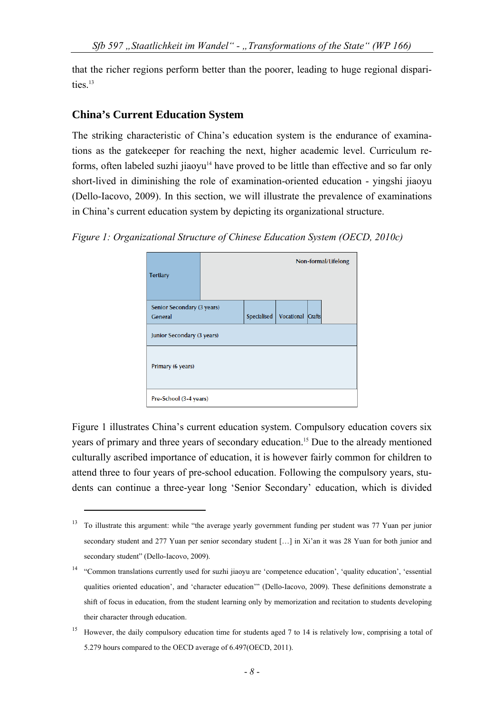that the richer regions perform better than the poorer, leading to huge regional disparities.<sup>13</sup>

### **China's Current Education System**

1

The striking characteristic of China's education system is the endurance of examinations as the gatekeeper for reaching the next, higher academic level. Curriculum reforms, often labeled suzhi jiaoyu $14$  have proved to be little than effective and so far only short-lived in diminishing the role of examination-oriented education - yingshi jiaoyu (Dello-Iacovo, 2009). In this section, we will illustrate the prevalence of examinations in China's current education system by depicting its organizational structure.

| Figure 1: Organizational Structure of Chinese Education System (OECD, 2010c) |  |  |  |
|------------------------------------------------------------------------------|--|--|--|
|                                                                              |  |  |  |

| <b>Tertiary</b>                              |             |                          | Non-formal/Lifelong |
|----------------------------------------------|-------------|--------------------------|---------------------|
| Senior Secondary (3 years)<br><b>General</b> | Specialised | <b>Vocational Crafts</b> |                     |
| Junior Secondary (3 years)                   |             |                          |                     |
| Primary (6 years)                            |             |                          |                     |
| Pre-School (3-4 years)                       |             |                          |                     |

Figure 1 illustrates China's current education system. Compulsory education covers six years of primary and three years of secondary education.15 Due to the already mentioned culturally ascribed importance of education, it is however fairly common for children to attend three to four years of pre-school education. Following the compulsory years, students can continue a three-year long 'Senior Secondary' education, which is divided

<sup>&</sup>lt;sup>13</sup> To illustrate this argument: while "the average yearly government funding per student was 77 Yuan per junior secondary student and 277 Yuan per senior secondary student [...] in Xi'an it was 28 Yuan for both junior and secondary student" (Dello-Iacovo, 2009).

<sup>&</sup>lt;sup>14</sup> "Common translations currently used for suzhi jiaoyu are 'competence education', 'quality education', 'essential qualities oriented education', and 'character education'" (Dello-Iacovo, 2009). These definitions demonstrate a shift of focus in education, from the student learning only by memorization and recitation to students developing their character through education.

<sup>&</sup>lt;sup>15</sup> However, the daily compulsory education time for students aged 7 to 14 is relatively low, comprising a total of 5.279 hours compared to the OECD average of 6.497(OECD, 2011).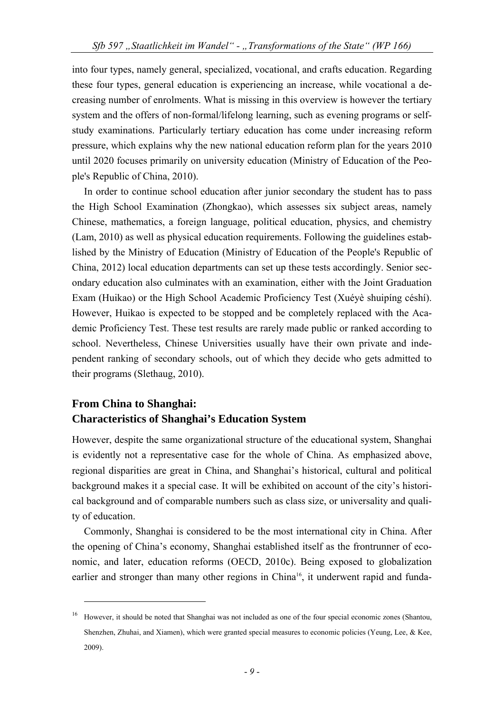into four types, namely general, specialized, vocational, and crafts education. Regarding these four types, general education is experiencing an increase, while vocational a decreasing number of enrolments. What is missing in this overview is however the tertiary system and the offers of non-formal/lifelong learning, such as evening programs or selfstudy examinations. Particularly tertiary education has come under increasing reform pressure, which explains why the new national education reform plan for the years 2010 until 2020 focuses primarily on university education (Ministry of Education of the People's Republic of China, 2010).

In order to continue school education after junior secondary the student has to pass the High School Examination (Zhongkao), which assesses six subject areas, namely Chinese, mathematics, a foreign language, political education, physics, and chemistry (Lam, 2010) as well as physical education requirements. Following the guidelines established by the Ministry of Education (Ministry of Education of the People's Republic of China, 2012) local education departments can set up these tests accordingly. Senior secondary education also culminates with an examination, either with the Joint Graduation Exam (Huikao) or the High School Academic Proficiency Test (Xuéyè shuipíng céshí). However, Huikao is expected to be stopped and be completely replaced with the Academic Proficiency Test. These test results are rarely made public or ranked according to school. Nevertheless, Chinese Universities usually have their own private and independent ranking of secondary schools, out of which they decide who gets admitted to their programs (Slethaug, 2010).

# **From China to Shanghai: Characteristics of Shanghai's Education System**

1

However, despite the same organizational structure of the educational system, Shanghai is evidently not a representative case for the whole of China. As emphasized above, regional disparities are great in China, and Shanghai's historical, cultural and political background makes it a special case. It will be exhibited on account of the city's historical background and of comparable numbers such as class size, or universality and quality of education.

Commonly, Shanghai is considered to be the most international city in China. After the opening of China's economy, Shanghai established itself as the frontrunner of economic, and later, education reforms (OECD, 2010c). Being exposed to globalization earlier and stronger than many other regions in China<sup>16</sup>, it underwent rapid and funda-

<sup>16</sup> However, it should be noted that Shanghai was not included as one of the four special economic zones (Shantou, Shenzhen, Zhuhai, and Xiamen), which were granted special measures to economic policies (Yeung, Lee, & Kee, 2009).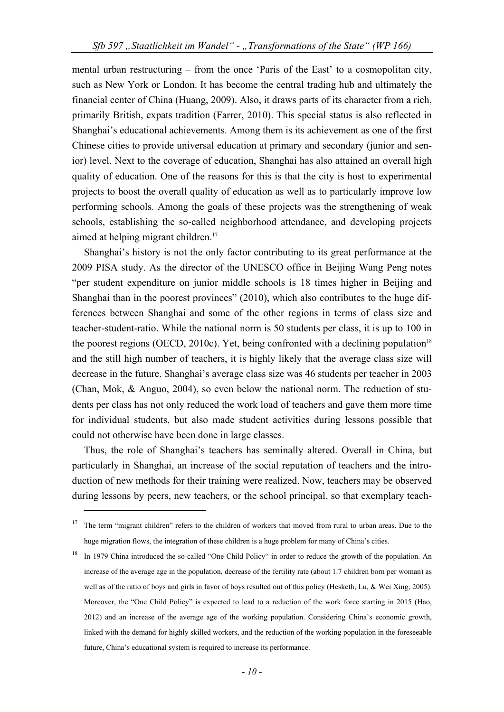mental urban restructuring – from the once 'Paris of the East' to a cosmopolitan city, such as New York or London. It has become the central trading hub and ultimately the financial center of China (Huang, 2009). Also, it draws parts of its character from a rich, primarily British, expats tradition (Farrer, 2010). This special status is also reflected in Shanghai's educational achievements. Among them is its achievement as one of the first Chinese cities to provide universal education at primary and secondary (junior and senior) level. Next to the coverage of education, Shanghai has also attained an overall high quality of education. One of the reasons for this is that the city is host to experimental projects to boost the overall quality of education as well as to particularly improve low performing schools. Among the goals of these projects was the strengthening of weak schools, establishing the so-called neighborhood attendance, and developing projects aimed at helping migrant children.<sup>17</sup>

Shanghai's history is not the only factor contributing to its great performance at the 2009 PISA study. As the director of the UNESCO office in Beijing Wang Peng notes "per student expenditure on junior middle schools is 18 times higher in Beijing and Shanghai than in the poorest provinces" (2010), which also contributes to the huge differences between Shanghai and some of the other regions in terms of class size and teacher-student-ratio. While the national norm is 50 students per class, it is up to 100 in the poorest regions (OECD, 2010c). Yet, being confronted with a declining population<sup>18</sup> and the still high number of teachers, it is highly likely that the average class size will decrease in the future. Shanghai's average class size was 46 students per teacher in 2003 (Chan, Mok, & Anguo, 2004), so even below the national norm. The reduction of students per class has not only reduced the work load of teachers and gave them more time for individual students, but also made student activities during lessons possible that could not otherwise have been done in large classes.

Thus, the role of Shanghai's teachers has seminally altered. Overall in China, but particularly in Shanghai, an increase of the social reputation of teachers and the introduction of new methods for their training were realized. Now, teachers may be observed during lessons by peers, new teachers, or the school principal, so that exemplary teach-

<sup>&</sup>lt;sup>17</sup> The term "migrant children" refers to the children of workers that moved from rural to urban areas. Due to the huge migration flows, the integration of these children is a huge problem for many of China's cities.

<sup>&</sup>lt;sup>18</sup> In 1979 China introduced the so-called "One Child Policy" in order to reduce the growth of the population. An increase of the average age in the population, decrease of the fertility rate (about 1.7 children born per woman) as well as of the ratio of boys and girls in favor of boys resulted out of this policy (Hesketh, Lu, & Wei Xing, 2005). Moreover, the "One Child Policy" is expected to lead to a reduction of the work force starting in 2015 (Hao, 2012) and an increase of the average age of the working population. Considering China`s economic growth, linked with the demand for highly skilled workers, and the reduction of the working population in the foreseeable future, China's educational system is required to increase its performance.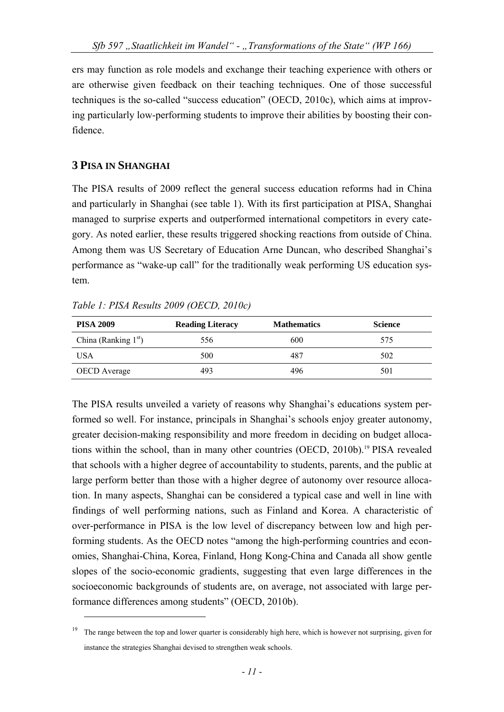ers may function as role models and exchange their teaching experience with others or are otherwise given feedback on their teaching techniques. One of those successful techniques is the so-called "success education" (OECD, 2010c), which aims at improving particularly low-performing students to improve their abilities by boosting their confidence.

### **3 PISA IN SHANGHAI**

1

The PISA results of 2009 reflect the general success education reforms had in China and particularly in Shanghai (see table 1). With its first participation at PISA, Shanghai managed to surprise experts and outperformed international competitors in every category. As noted earlier, these results triggered shocking reactions from outside of China. Among them was US Secretary of Education Arne Duncan, who described Shanghai's performance as "wake-up call" for the traditionally weak performing US education system.

|  |  |  |  |  | Table 1: PISA Results 2009 (OECD, 2010c) |  |
|--|--|--|--|--|------------------------------------------|--|
|--|--|--|--|--|------------------------------------------|--|

| <b>PISA 2009</b>       | <b>Reading Literacy</b> | <b>Mathematics</b> | <b>Science</b> |
|------------------------|-------------------------|--------------------|----------------|
| China (Ranking $1st$ ) | 556                     | 600                | 575            |
| <b>USA</b>             | 500                     | 487                | 502            |
| <b>OECD</b> Average    | 493                     | 496                | 501            |

The PISA results unveiled a variety of reasons why Shanghai's educations system performed so well. For instance, principals in Shanghai's schools enjoy greater autonomy, greater decision-making responsibility and more freedom in deciding on budget allocations within the school, than in many other countries (OECD, 2010b).<sup>19</sup> PISA revealed that schools with a higher degree of accountability to students, parents, and the public at large perform better than those with a higher degree of autonomy over resource allocation. In many aspects, Shanghai can be considered a typical case and well in line with findings of well performing nations, such as Finland and Korea. A characteristic of over-performance in PISA is the low level of discrepancy between low and high performing students. As the OECD notes "among the high-performing countries and economies, Shanghai-China, Korea, Finland, Hong Kong-China and Canada all show gentle slopes of the socio-economic gradients, suggesting that even large differences in the socioeconomic backgrounds of students are, on average, not associated with large performance differences among students" (OECD, 2010b).

<sup>19</sup> The range between the top and lower quarter is considerably high here, which is however not surprising, given for instance the strategies Shanghai devised to strengthen weak schools.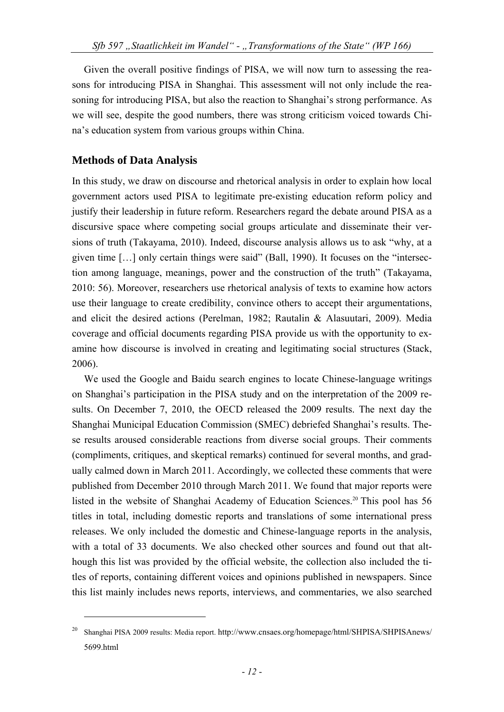Given the overall positive findings of PISA, we will now turn to assessing the reasons for introducing PISA in Shanghai. This assessment will not only include the reasoning for introducing PISA, but also the reaction to Shanghai's strong performance. As we will see, despite the good numbers, there was strong criticism voiced towards China's education system from various groups within China.

### **Methods of Data Analysis**

1

In this study, we draw on discourse and rhetorical analysis in order to explain how local government actors used PISA to legitimate pre-existing education reform policy and justify their leadership in future reform. Researchers regard the debate around PISA as a discursive space where competing social groups articulate and disseminate their versions of truth (Takayama, 2010). Indeed, discourse analysis allows us to ask "why, at a given time […] only certain things were said" (Ball, 1990). It focuses on the "intersection among language, meanings, power and the construction of the truth" (Takayama, 2010: 56). Moreover, researchers use rhetorical analysis of texts to examine how actors use their language to create credibility, convince others to accept their argumentations, and elicit the desired actions (Perelman, 1982; Rautalin & Alasuutari, 2009). Media coverage and official documents regarding PISA provide us with the opportunity to examine how discourse is involved in creating and legitimating social structures (Stack, 2006).

We used the Google and Baidu search engines to locate Chinese-language writings on Shanghai's participation in the PISA study and on the interpretation of the 2009 results. On December 7, 2010, the OECD released the 2009 results. The next day the Shanghai Municipal Education Commission (SMEC) debriefed Shanghai's results. These results aroused considerable reactions from diverse social groups. Their comments (compliments, critiques, and skeptical remarks) continued for several months, and gradually calmed down in March 2011. Accordingly, we collected these comments that were published from December 2010 through March 2011. We found that major reports were listed in the website of Shanghai Academy of Education Sciences.20 This pool has 56 titles in total, including domestic reports and translations of some international press releases. We only included the domestic and Chinese-language reports in the analysis, with a total of 33 documents. We also checked other sources and found out that although this list was provided by the official website, the collection also included the titles of reports, containing different voices and opinions published in newspapers. Since this list mainly includes news reports, interviews, and commentaries, we also searched

<sup>20</sup> Shanghai PISA 2009 results: Media report. http://www.cnsaes.org/homepage/html/SHPISA/SHPISAnews/ 5699.html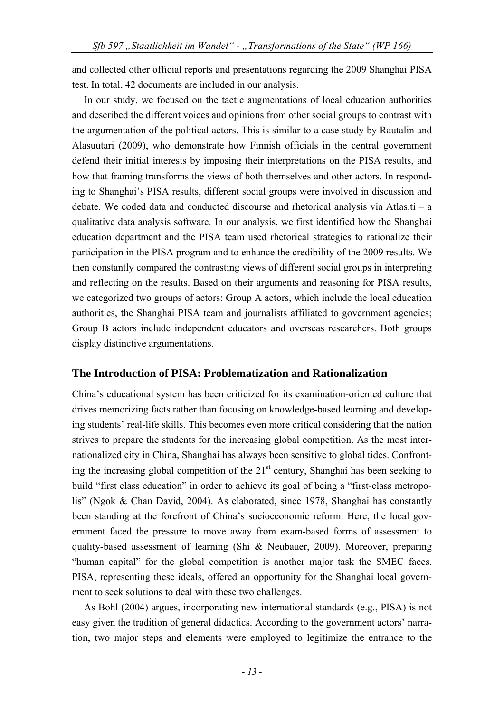and collected other official reports and presentations regarding the 2009 Shanghai PISA test. In total, 42 documents are included in our analysis.

In our study, we focused on the tactic augmentations of local education authorities and described the different voices and opinions from other social groups to contrast with the argumentation of the political actors. This is similar to a case study by Rautalin and Alasuutari (2009), who demonstrate how Finnish officials in the central government defend their initial interests by imposing their interpretations on the PISA results, and how that framing transforms the views of both themselves and other actors. In responding to Shanghai's PISA results, different social groups were involved in discussion and debate. We coded data and conducted discourse and rhetorical analysis via Atlas.ti – a qualitative data analysis software. In our analysis, we first identified how the Shanghai education department and the PISA team used rhetorical strategies to rationalize their participation in the PISA program and to enhance the credibility of the 2009 results. We then constantly compared the contrasting views of different social groups in interpreting and reflecting on the results. Based on their arguments and reasoning for PISA results, we categorized two groups of actors: Group A actors, which include the local education authorities, the Shanghai PISA team and journalists affiliated to government agencies; Group B actors include independent educators and overseas researchers. Both groups display distinctive argumentations.

### **The Introduction of PISA: Problematization and Rationalization**

China's educational system has been criticized for its examination-oriented culture that drives memorizing facts rather than focusing on knowledge-based learning and developing students' real-life skills. This becomes even more critical considering that the nation strives to prepare the students for the increasing global competition. As the most internationalized city in China, Shanghai has always been sensitive to global tides. Confronting the increasing global competition of the  $21<sup>st</sup>$  century, Shanghai has been seeking to build "first class education" in order to achieve its goal of being a "first-class metropolis" (Ngok & Chan David, 2004). As elaborated, since 1978, Shanghai has constantly been standing at the forefront of China's socioeconomic reform. Here, the local government faced the pressure to move away from exam-based forms of assessment to quality-based assessment of learning (Shi & Neubauer, 2009). Moreover, preparing "human capital" for the global competition is another major task the SMEC faces. PISA, representing these ideals, offered an opportunity for the Shanghai local government to seek solutions to deal with these two challenges.

As Bohl (2004) argues, incorporating new international standards (e.g., PISA) is not easy given the tradition of general didactics. According to the government actors' narration, two major steps and elements were employed to legitimize the entrance to the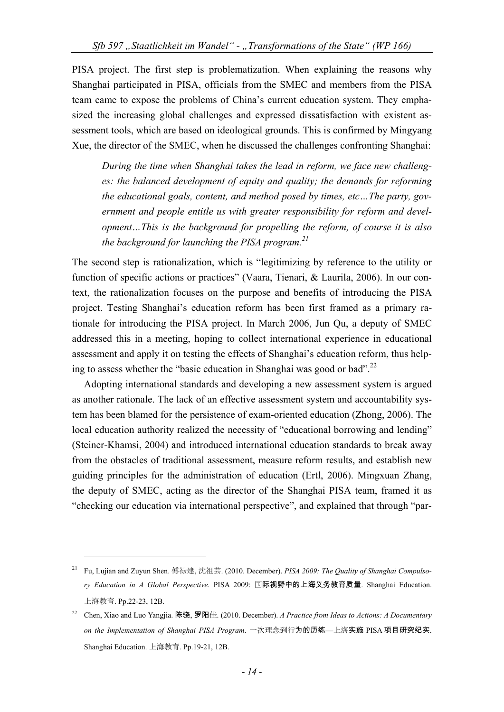PISA project. The first step is problematization. When explaining the reasons why Shanghai participated in PISA, officials from the SMEC and members from the PISA team came to expose the problems of China's current education system. They emphasized the increasing global challenges and expressed dissatisfaction with existent assessment tools, which are based on ideological grounds. This is confirmed by Mingyang Xue, the director of the SMEC, when he discussed the challenges confronting Shanghai:

*During the time when Shanghai takes the lead in reform, we face new challenges: the balanced development of equity and quality; the demands for reforming the educational goals, content, and method posed by times, etc…The party, government and people entitle us with greater responsibility for reform and development…This is the background for propelling the reform, of course it is also the background for launching the PISA program.21*

The second step is rationalization, which is "legitimizing by reference to the utility or function of specific actions or practices" (Vaara, Tienari, & Laurila, 2006). In our context, the rationalization focuses on the purpose and benefits of introducing the PISA project. Testing Shanghai's education reform has been first framed as a primary rationale for introducing the PISA project. In March 2006, Jun Qu, a deputy of SMEC addressed this in a meeting, hoping to collect international experience in educational assessment and apply it on testing the effects of Shanghai's education reform, thus helping to assess whether the "basic education in Shanghai was good or bad".<sup>22</sup>

Adopting international standards and developing a new assessment system is argued as another rationale. The lack of an effective assessment system and accountability system has been blamed for the persistence of exam-oriented education (Zhong, 2006). The local education authority realized the necessity of "educational borrowing and lending" (Steiner-Khamsi, 2004) and introduced international education standards to break away from the obstacles of traditional assessment, measure reform results, and establish new guiding principles for the administration of education (Ertl, 2006). Mingxuan Zhang, the deputy of SMEC, acting as the director of the Shanghai PISA team, framed it as "checking our education via international perspective", and explained that through "par-

<sup>21</sup> Fu, Lujian and Zuyun Shen. 傅禄建, 沈祖芸. (2010. December). *PISA 2009: The Quality of Shanghai Compulsory Education in A Global Perspective*. PISA 2009: 国际视野中的上海义务教育质量. Shanghai Education. 上海教育. Pp.22-23, 12B.

<sup>22</sup> Chen, Xiao and Luo Yangjia. 陈骁, 罗阳佳. (2010. December). *A Practice from Ideas to Actions: A Documentary on the Implementation of Shanghai PISA Program*. 一次理念到行为的历练—上海实施 PISA 项目研究纪实. Shanghai Education. 上海教育. Pp.19-21, 12B.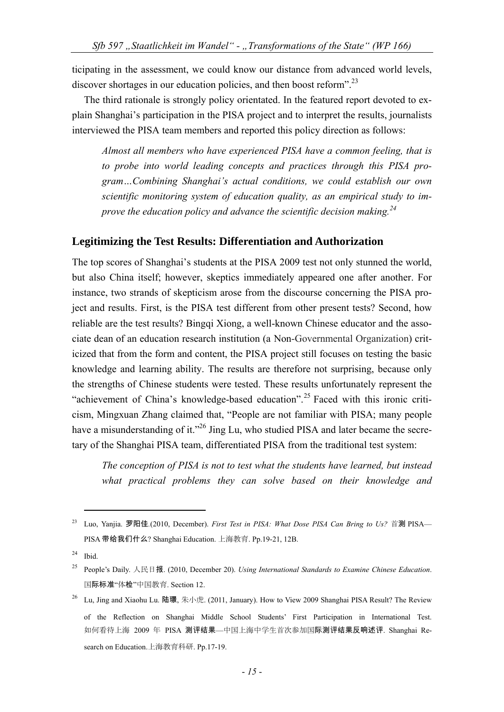ticipating in the assessment, we could know our distance from advanced world levels, discover shortages in our education policies, and then boost reform".<sup>23</sup>

The third rationale is strongly policy orientated. In the featured report devoted to explain Shanghai's participation in the PISA project and to interpret the results, journalists interviewed the PISA team members and reported this policy direction as follows:

*Almost all members who have experienced PISA have a common feeling, that is to probe into world leading concepts and practices through this PISA program…Combining Shanghai's actual conditions, we could establish our own scientific monitoring system of education quality, as an empirical study to improve the education policy and advance the scientific decision making.24* 

#### **Legitimizing the Test Results: Differentiation and Authorization**

The top scores of Shanghai's students at the PISA 2009 test not only stunned the world, but also China itself; however, skeptics immediately appeared one after another. For instance, two strands of skepticism arose from the discourse concerning the PISA project and results. First, is the PISA test different from other present tests? Second, how reliable are the test results? Bingqi Xiong, a well-known Chinese educator and the associate dean of an education research institution (a Non-Governmental Organization) criticized that from the form and content, the PISA project still focuses on testing the basic knowledge and learning ability. The results are therefore not surprising, because only the strengths of Chinese students were tested. These results unfortunately represent the "achievement of China's knowledge-based education".<sup>25</sup> Faced with this ironic criticism, Mingxuan Zhang claimed that, "People are not familiar with PISA; many people have a misunderstanding of it."<sup>26</sup> Jing Lu, who studied PISA and later became the secretary of the Shanghai PISA team, differentiated PISA from the traditional test system:

*The conception of PISA is not to test what the students have learned, but instead what practical problems they can solve based on their knowledge and* 

<sup>23</sup> Luo, Yanjia. 罗阳佳*.*(2010, December). *First Test in PISA: What Dose PISA Can Bring to Us?* 首测 PISA— PISA 带给我们什么? Shanghai Education. 上海教育. Pp.19-21, 12B.

 $24$  Ibid.

<sup>25</sup> People's Daily. 人民日报. (2010, December 20). *Using International Standards to Examine Chinese Education*. 国际标准"体检"中国教育. Section 12.

<sup>26</sup> Lu, Jing and Xiaohu Lu. 陆璟, 朱小虎. (2011, January). How to View 2009 Shanghai PISA Result? The Review of the Reflection on Shanghai Middle School Students' First Participation in International Test. 如何看待上海 2009 年 PISA 测评结果—中国上海中学生首次参加国际测评结果反响述评. Shanghai Research on Education.上海教育科研. Pp.17-19.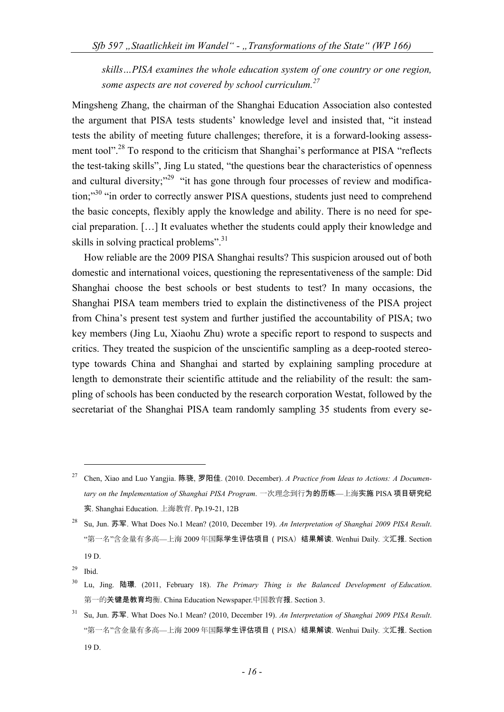*skills…PISA examines the whole education system of one country or one region, some aspects are not covered by school curriculum.<sup>27</sup>*

Mingsheng Zhang, the chairman of the Shanghai Education Association also contested the argument that PISA tests students' knowledge level and insisted that, "it instead tests the ability of meeting future challenges; therefore, it is a forward-looking assessment tool".<sup>28</sup> To respond to the criticism that Shanghai's performance at PISA "reflects" the test-taking skills", Jing Lu stated, "the questions bear the characteristics of openness and cultural diversity;<sup>29</sup> "it has gone through four processes of review and modification;<sup>30</sup> "in order to correctly answer PISA questions, students just need to comprehend the basic concepts, flexibly apply the knowledge and ability. There is no need for special preparation. […] It evaluates whether the students could apply their knowledge and skills in solving practical problems". $31$ 

How reliable are the 2009 PISA Shanghai results? This suspicion aroused out of both domestic and international voices, questioning the representativeness of the sample: Did Shanghai choose the best schools or best students to test? In many occasions, the Shanghai PISA team members tried to explain the distinctiveness of the PISA project from China's present test system and further justified the accountability of PISA; two key members (Jing Lu, Xiaohu Zhu) wrote a specific report to respond to suspects and critics. They treated the suspicion of the unscientific sampling as a deep-rooted stereotype towards China and Shanghai and started by explaining sampling procedure at length to demonstrate their scientific attitude and the reliability of the result: the sampling of schools has been conducted by the research corporation Westat, followed by the secretariat of the Shanghai PISA team randomly sampling 35 students from every se-

 <sup>27</sup> Chen, Xiao and Luo Yangjia. 陈骁, 罗阳佳. (2010. December). *A Practice from Ideas to Actions: A Documentary on the Implementation of Shanghai PISA Program*. 一次理念到行为的历练—上海实施 PISA 项目研究纪 实. Shanghai Education. 上海教育. Pp.19-21, 12B

<sup>28</sup> Su, Jun. 苏军. What Does No.1 Mean? (2010, December 19). *An Interpretation of Shanghai 2009 PISA Result*. "第一名"含金量有多高—上海 2009 年国际学生评估项目(PISA)结果解读. Wenhui Daily. 文汇报. Section 19 D.

 $29$  Ibid.

<sup>30</sup> Lu, Jing. 陆璟. (2011, February 18). *The Primary Thing is the Balanced Development of Education*. 第一的关键是教育均衡. China Education Newspaper.中国教育报. Section 3.

<sup>31</sup> Su, Jun. 苏军. What Does No.1 Mean? (2010, December 19). *An Interpretation of Shanghai 2009 PISA Result*. "第一名"含金量有多高—上海 2009 年国际学生评估项目(PISA)结果解读. Wenhui Daily. 文汇报. Section 19 D.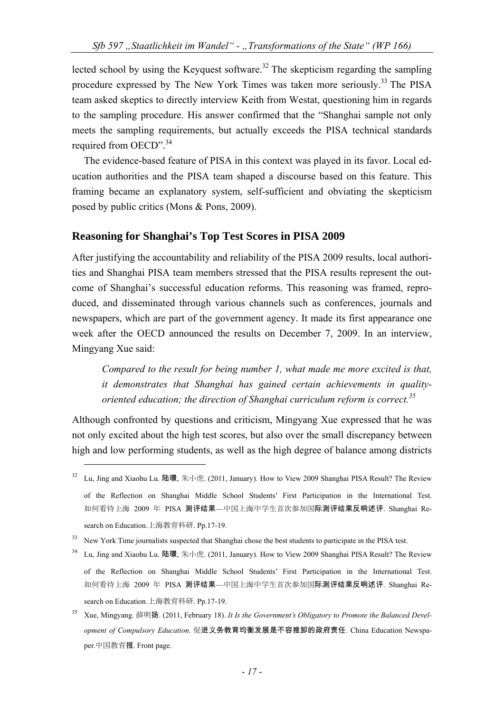lected school by using the Keyquest software.<sup>32</sup> The skepticism regarding the sampling procedure expressed by The New York Times was taken more seriously.<sup>33</sup> The PISA team asked skeptics to directly interview Keith from Westat, questioning him in regards to the sampling procedure. His answer confirmed that the "Shanghai sample not only meets the sampling requirements, but actually exceeds the PISA technical standards required from OECD".<sup>34</sup>

The evidence-based feature of PISA in this context was played in its favor. Local education authorities and the PISA team shaped a discourse based on this feature. This framing became an explanatory system, self-sufficient and obviating the skepticism posed by public critics (Mons & Pons, 2009).

#### **Reasoning for Shanghai's Top Test Scores in PISA 2009**

After justifying the accountability and reliability of the PISA 2009 results, local authorities and Shanghai PISA team members stressed that the PISA results represent the outcome of Shanghai's successful education reforms. This reasoning was framed, reproduced, and disseminated through various channels such as conferences, journals and newspapers, which are part of the government agency. It made its first appearance one week after the OECD announced the results on December 7, 2009. In an interview, Mingyang Xue said:

*Compared to the result for being number 1, what made me more excited is that, it demonstrates that Shanghai has gained certain achievements in qualityoriented education; the direction of Shanghai curriculum reform is correct.35*

Although confronted by questions and criticism, Mingyang Xue expressed that he was not only excited about the high test scores, but also over the small discrepancy between high and low performing students, as well as the high degree of balance among districts

 <sup>32</sup> Lu, Jing and Xiaohu Lu. 陆璟, 朱小虎. (2011, January). How to View 2009 Shanghai PISA Result? The Review of the Reflection on Shanghai Middle School Students' First Participation in the International Test. 如何看待上海 2009 年 PISA 测评结果—中国上海中学生首次参加国际测评结果反响述评. Shanghai Research on Education.上海教育科研. Pp.17-19.

<sup>&</sup>lt;sup>33</sup> New York Time journalists suspected that Shanghai chose the best students to participate in the PISA test.

Lu, Jing and Xiaohu Lu. 陆璟, 朱小虎. (2011, January). How to View 2009 Shanghai PISA Result? The Review of the Reflection on Shanghai Middle School Students' First Participation in the International Test. 如何看待上海 2009 年 PISA 测评结果—中国上海中学生首次参加国际测评结果反响述评. Shanghai Research on Education.上海教育科研. Pp.17-19.

<sup>35</sup> Xue, Mingyang. 薛明扬. (2011, February 18). *It Is the Government's Obligatory to Promote the Balanced Development of Compulsory Education*. 促进义务教育均衡发展是不容推卸的政府责任. China Education Newspaper.中国教育报. Front page.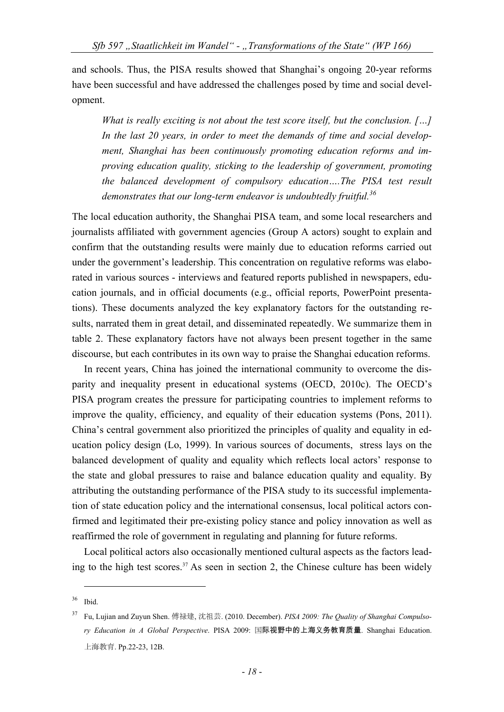and schools. Thus, the PISA results showed that Shanghai's ongoing 20-year reforms have been successful and have addressed the challenges posed by time and social development.

*What is really exciting is not about the test score itself, but the conclusion. […] In the last 20 years, in order to meet the demands of time and social development, Shanghai has been continuously promoting education reforms and improving education quality, sticking to the leadership of government, promoting the balanced development of compulsory education….The PISA test result demonstrates that our long-term endeavor is undoubtedly fruitful.36*

The local education authority, the Shanghai PISA team, and some local researchers and journalists affiliated with government agencies (Group A actors) sought to explain and confirm that the outstanding results were mainly due to education reforms carried out under the government's leadership. This concentration on regulative reforms was elaborated in various sources - interviews and featured reports published in newspapers, education journals, and in official documents (e.g., official reports, PowerPoint presentations). These documents analyzed the key explanatory factors for the outstanding results, narrated them in great detail, and disseminated repeatedly. We summarize them in table 2. These explanatory factors have not always been present together in the same discourse, but each contributes in its own way to praise the Shanghai education reforms.

In recent years, China has joined the international community to overcome the disparity and inequality present in educational systems (OECD, 2010c). The OECD's PISA program creates the pressure for participating countries to implement reforms to improve the quality, efficiency, and equality of their education systems (Pons, 2011). China's central government also prioritized the principles of quality and equality in education policy design (Lo, 1999). In various sources of documents, stress lays on the balanced development of quality and equality which reflects local actors' response to the state and global pressures to raise and balance education quality and equality. By attributing the outstanding performance of the PISA study to its successful implementation of state education policy and the international consensus, local political actors confirmed and legitimated their pre-existing policy stance and policy innovation as well as reaffirmed the role of government in regulating and planning for future reforms.

Local political actors also occasionally mentioned cultural aspects as the factors leading to the high test scores.<sup>37</sup> As seen in section 2, the Chinese culture has been widely

<sup>1</sup>  $36$  Ibid.

<sup>37</sup> Fu, Lujian and Zuyun Shen. 傅禄建, 沈祖芸. (2010. December). *PISA 2009: The Quality of Shanghai Compulsory Education in A Global Perspective*. PISA 2009: 国际视野中的上海义务教育质量. Shanghai Education. 上海教育. Pp.22-23, 12B.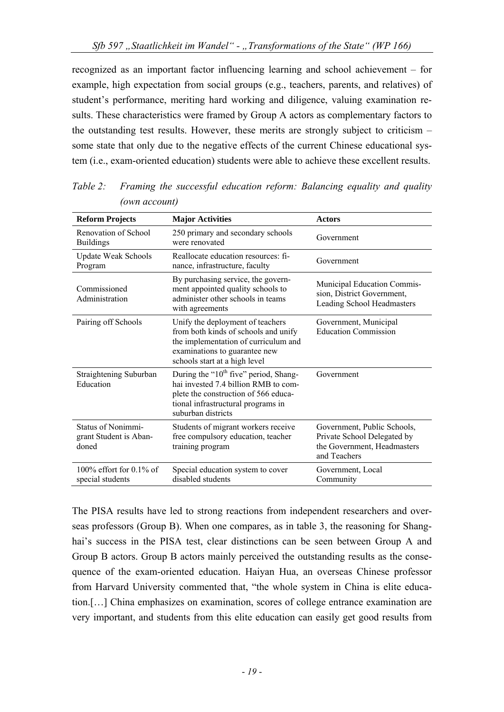recognized as an important factor influencing learning and school achievement – for example, high expectation from social groups (e.g., teachers, parents, and relatives) of student's performance, meriting hard working and diligence, valuing examination results. These characteristics were framed by Group A actors as complementary factors to the outstanding test results. However, these merits are strongly subject to criticism – some state that only due to the negative effects of the current Chinese educational system (i.e., exam-oriented education) students were able to achieve these excellent results.

| <b>Reform Projects</b>                                       | <b>Major Activities</b>                                                                                                                                                              | <b>Actors</b>                                                                                             |
|--------------------------------------------------------------|--------------------------------------------------------------------------------------------------------------------------------------------------------------------------------------|-----------------------------------------------------------------------------------------------------------|
| Renovation of School<br><b>Buildings</b>                     | 250 primary and secondary schools<br>were renovated                                                                                                                                  | Government                                                                                                |
| <b>Update Weak Schools</b><br>Program                        | Reallocate education resources: fi-<br>nance, infrastructure, faculty                                                                                                                | Government                                                                                                |
| Commissioned<br>Administration                               | By purchasing service, the govern-<br>ment appointed quality schools to<br>administer other schools in teams<br>with agreements                                                      | Municipal Education Commis-<br>sion, District Government,<br>Leading School Headmasters                   |
| Pairing off Schools                                          | Unify the deployment of teachers<br>from both kinds of schools and unify<br>the implementation of curriculum and<br>examinations to guarantee new<br>schools start at a high level   | Government, Municipal<br><b>Education Commission</b>                                                      |
| Straightening Suburban<br>Education                          | During the " $10th$ five" period, Shang-<br>hai invested 7.4 billion RMB to com-<br>plete the construction of 566 educa-<br>tional infrastructural programs in<br>suburban districts | Government                                                                                                |
| <b>Status of Nonimmi-</b><br>grant Student is Aban-<br>doned | Students of migrant workers receive<br>free compulsory education, teacher<br>training program                                                                                        | Government, Public Schools,<br>Private School Delegated by<br>the Government, Headmasters<br>and Teachers |
| $100\%$ effort for 0.1% of<br>special students               | Special education system to cover<br>disabled students                                                                                                                               | Government, Local<br>Community                                                                            |

*Table 2: Framing the successful education reform: Balancing equality and quality (own account)* 

The PISA results have led to strong reactions from independent researchers and overseas professors (Group B). When one compares, as in table 3, the reasoning for Shanghai's success in the PISA test, clear distinctions can be seen between Group A and Group B actors. Group B actors mainly perceived the outstanding results as the consequence of the exam-oriented education. Haiyan Hua, an overseas Chinese professor from Harvard University commented that, "the whole system in China is elite education.[…] China emphasizes on examination, scores of college entrance examination are very important, and students from this elite education can easily get good results from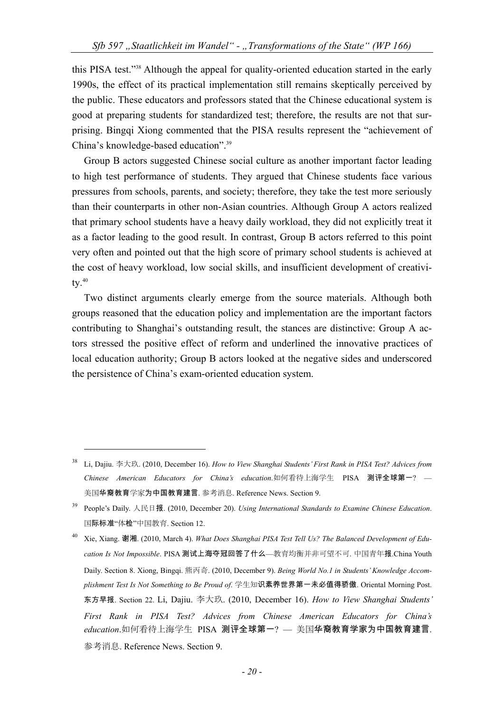this PISA test."38 Although the appeal for quality-oriented education started in the early 1990s, the effect of its practical implementation still remains skeptically perceived by the public. These educators and professors stated that the Chinese educational system is good at preparing students for standardized test; therefore, the results are not that surprising. Bingqi Xiong commented that the PISA results represent the "achievement of China's knowledge-based education".39

Group B actors suggested Chinese social culture as another important factor leading to high test performance of students. They argued that Chinese students face various pressures from schools, parents, and society; therefore, they take the test more seriously than their counterparts in other non-Asian countries. Although Group A actors realized that primary school students have a heavy daily workload, they did not explicitly treat it as a factor leading to the good result. In contrast, Group B actors referred to this point very often and pointed out that the high score of primary school students is achieved at the cost of heavy workload, low social skills, and insufficient development of creativi $tv.$ <sup>40</sup>

Two distinct arguments clearly emerge from the source materials. Although both groups reasoned that the education policy and implementation are the important factors contributing to Shanghai's outstanding result, the stances are distinctive: Group A actors stressed the positive effect of reform and underlined the innovative practices of local education authority; Group B actors looked at the negative sides and underscored the persistence of China's exam-oriented education system.

<sup>38</sup> Li, Dajiu. 李大玖. (2010, December 16). *How to View Shanghai Students' First Rank in PISA Test? Advices from Chinese American Educators for China's education*.如何看待上海学生 PISA 测评全球第一? — 美国华裔教育学家为中国教育建言. 参考消息. Reference News. Section 9.

<sup>39</sup> People's Daily. 人民日报. (2010, December 20). *Using International Standards to Examine Chinese Education*. 国际标准"体检"中国教育. Section 12.

<sup>40</sup> Xie, Xiang. 谢湘. (2010, March 4). *What Does Shanghai PISA Test Tell Us? The Balanced Development of Education Is Not Impossible*. PISA 测试上海夺冠回答了什么—教育均衡并非可望不可. 中国青年报.China Youth Daily. Section 8. Xiong, Bingqi. 熊丙奇. (2010, December 9). *Being World No.1 in Students' Knowledge Accomplishment Test Is Not Something to Be Proud of*. 学生知识素养世界第一未必值得骄傲. Oriental Morning Post. 东方早报. Section 22. Li, Dajiu. 李大玖. (2010, December 16). *How to View Shanghai Students' First Rank in PISA Test? Advices from Chinese American Educators for China's education*.如何看待上海学生 PISA 测评全球第一? — 美国华裔教育学家为中国教育建言. 参考消息. Reference News. Section 9.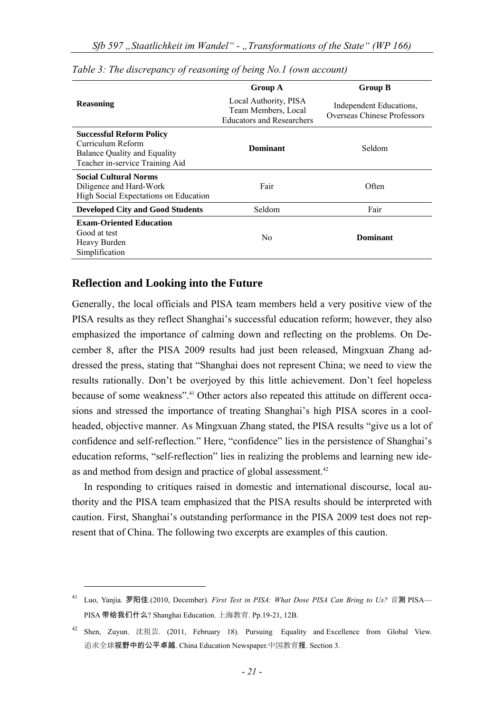|                                                                                                                         | <b>Group A</b>                                                                   | <b>Group B</b>                                         |
|-------------------------------------------------------------------------------------------------------------------------|----------------------------------------------------------------------------------|--------------------------------------------------------|
| <b>Reasoning</b>                                                                                                        | Local Authority, PISA<br>Team Members, Local<br><b>Educators and Researchers</b> | Independent Educations,<br>Overseas Chinese Professors |
| <b>Successful Reform Policy</b><br>Curriculum Reform<br>Balance Quality and Equality<br>Teacher in-service Training Aid | <b>Dominant</b>                                                                  | Seldom                                                 |
| <b>Social Cultural Norms</b><br>Diligence and Hard-Work<br>High Social Expectations on Education                        | Fair                                                                             | Often                                                  |
| <b>Developed City and Good Students</b>                                                                                 | Seldom                                                                           | Fair                                                   |
| <b>Exam-Oriented Education</b><br>Good at test<br>Heavy Burden<br>Simplification                                        | N <sub>0</sub>                                                                   | <b>Dominant</b>                                        |

*Table 3: The discrepancy of reasoning of being No.1 (own account)* 

#### **Reflection and Looking into the Future**

Generally, the local officials and PISA team members held a very positive view of the PISA results as they reflect Shanghai's successful education reform; however, they also emphasized the importance of calming down and reflecting on the problems. On December 8, after the PISA 2009 results had just been released, Mingxuan Zhang addressed the press, stating that "Shanghai does not represent China; we need to view the results rationally. Don't be overjoyed by this little achievement. Don't feel hopeless because of some weakness".41 Other actors also repeated this attitude on different occasions and stressed the importance of treating Shanghai's high PISA scores in a coolheaded, objective manner. As Mingxuan Zhang stated, the PISA results "give us a lot of confidence and self-reflection." Here, "confidence" lies in the persistence of Shanghai's education reforms, "self-reflection" lies in realizing the problems and learning new ideas and method from design and practice of global assessment.<sup>42</sup>

In responding to critiques raised in domestic and international discourse, local authority and the PISA team emphasized that the PISA results should be interpreted with caution. First, Shanghai's outstanding performance in the PISA 2009 test does not represent that of China. The following two excerpts are examples of this caution.

 <sup>41</sup> Luo, Yanjia. 罗阳佳*.*(2010, December). *First Test in PISA: What Dose PISA Can Bring to Us?* 首<sup>测</sup> PISA— PISA 带给我们什么? Shanghai Education. 上海教育. Pp.19-21, 12B.

<sup>42</sup> Shen, Zuyun. 沈祖芸. (2011, February 18). Pursuing Equality and Excellence from Global View. 追求全球视野中的公平卓越. China Education Newspaper.中国教育报. Section 3.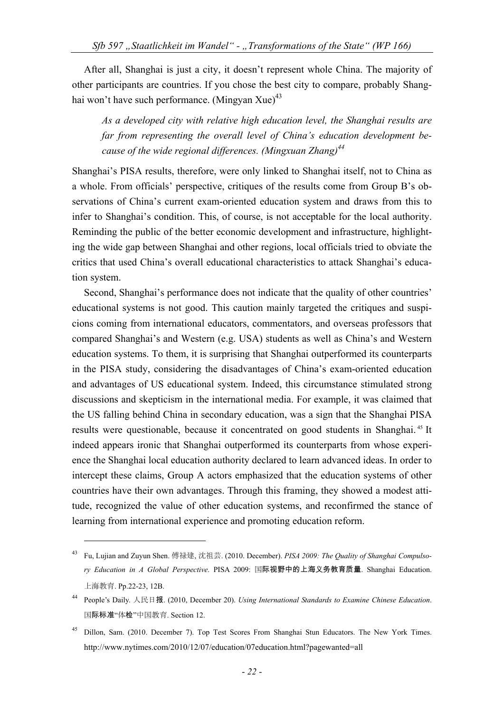After all, Shanghai is just a city, it doesn't represent whole China. The majority of other participants are countries. If you chose the best city to compare, probably Shanghai won't have such performance. (Mingyan Xue)<sup>43</sup>

*As a developed city with relative high education level, the Shanghai results are far from representing the overall level of China's education development because of the wide regional differences. (Mingxuan Zhang)44*

Shanghai's PISA results, therefore, were only linked to Shanghai itself, not to China as a whole. From officials' perspective, critiques of the results come from Group B's observations of China's current exam-oriented education system and draws from this to infer to Shanghai's condition. This, of course, is not acceptable for the local authority. Reminding the public of the better economic development and infrastructure, highlighting the wide gap between Shanghai and other regions, local officials tried to obviate the critics that used China's overall educational characteristics to attack Shanghai's education system.

Second, Shanghai's performance does not indicate that the quality of other countries' educational systems is not good. This caution mainly targeted the critiques and suspicions coming from international educators, commentators, and overseas professors that compared Shanghai's and Western (e.g. USA) students as well as China's and Western education systems. To them, it is surprising that Shanghai outperformed its counterparts in the PISA study, considering the disadvantages of China's exam-oriented education and advantages of US educational system. Indeed, this circumstance stimulated strong discussions and skepticism in the international media. For example, it was claimed that the US falling behind China in secondary education, was a sign that the Shanghai PISA results were questionable, because it concentrated on good students in Shanghai. 45 It indeed appears ironic that Shanghai outperformed its counterparts from whose experience the Shanghai local education authority declared to learn advanced ideas. In order to intercept these claims, Group A actors emphasized that the education systems of other countries have their own advantages. Through this framing, they showed a modest attitude, recognized the value of other education systems, and reconfirmed the stance of learning from international experience and promoting education reform.

<sup>43</sup> Fu, Lujian and Zuyun Shen. 傅禄建, 沈祖芸. (2010. December). *PISA 2009: The Quality of Shanghai Compulsory Education in A Global Perspective*. PISA 2009: 国际视野中的上海义务教育质量. Shanghai Education. 上海教育. Pp.22-23, 12B.

<sup>44</sup> People's Daily. 人民日报. (2010, December 20). *Using International Standards to Examine Chinese Education*. 国际标准"体检"中国教育. Section 12.

<sup>45</sup> Dillon, Sam. (2010. December 7). Top Test Scores From Shanghai Stun Educators. The New York Times. http://www.nytimes.com/2010/12/07/education/07education.html?pagewanted=all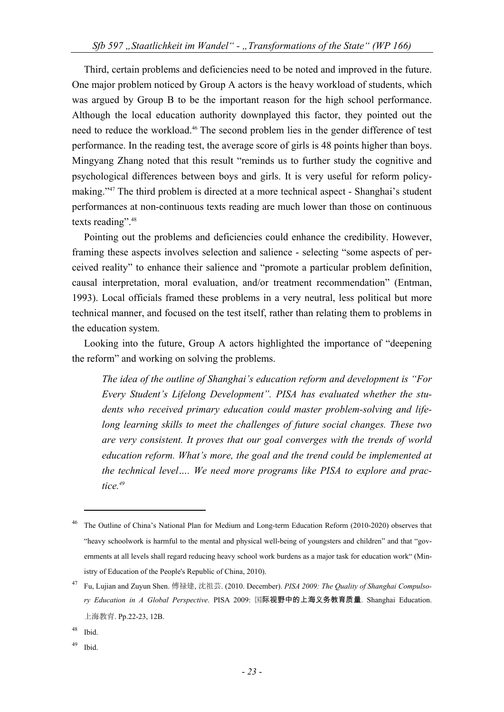Third, certain problems and deficiencies need to be noted and improved in the future. One major problem noticed by Group A actors is the heavy workload of students, which was argued by Group B to be the important reason for the high school performance. Although the local education authority downplayed this factor, they pointed out the need to reduce the workload.<sup>46</sup> The second problem lies in the gender difference of test performance. In the reading test, the average score of girls is 48 points higher than boys. Mingyang Zhang noted that this result "reminds us to further study the cognitive and psychological differences between boys and girls. It is very useful for reform policymaking."47 The third problem is directed at a more technical aspect - Shanghai's student performances at non-continuous texts reading are much lower than those on continuous texts reading".<sup>48</sup>

Pointing out the problems and deficiencies could enhance the credibility. However, framing these aspects involves selection and salience - selecting "some aspects of perceived reality" to enhance their salience and "promote a particular problem definition, causal interpretation, moral evaluation, and/or treatment recommendation" (Entman, 1993). Local officials framed these problems in a very neutral, less political but more technical manner, and focused on the test itself, rather than relating them to problems in the education system.

Looking into the future, Group A actors highlighted the importance of "deepening the reform" and working on solving the problems.

*The idea of the outline of Shanghai's education reform and development is "For Every Student's Lifelong Development". PISA has evaluated whether the students who received primary education could master problem-solving and lifelong learning skills to meet the challenges of future social changes. These two are very consistent. It proves that our goal converges with the trends of world education reform. What's more, the goal and the trend could be implemented at the technical level…. We need more programs like PISA to explore and practice.49*

1

49 Ibid.

<sup>46</sup> The Outline of China's National Plan for Medium and Long-term Education Reform (2010-2020) observes that "heavy schoolwork is harmful to the mental and physical well-being of youngsters and children" and that "governments at all levels shall regard reducing heavy school work burdens as a major task for education work" (Ministry of Education of the People's Republic of China, 2010).

<sup>47</sup> Fu, Lujian and Zuyun Shen. 傅禄建, 沈祖芸. (2010. December). *PISA 2009: The Quality of Shanghai Compulsory Education in A Global Perspective*. PISA 2009: 国际视野中的上海义务教育质量. Shanghai Education. 上海教育. Pp.22-23, 12B.

<sup>48</sup> Ibid.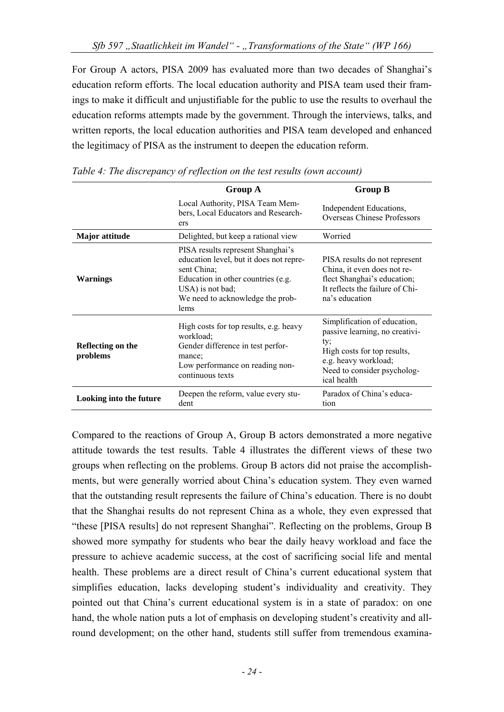For Group A actors, PISA 2009 has evaluated more than two decades of Shanghai's education reform efforts. The local education authority and PISA team used their framings to make it difficult and unjustifiable for the public to use the results to overhaul the education reforms attempts made by the government. Through the interviews, talks, and written reports, the local education authorities and PISA team developed and enhanced the legitimacy of PISA as the instrument to deepen the education reform.

|                               | <b>Group A</b>                                                                                                                                                                                    | <b>Group B</b>                                                                                                                                                             |
|-------------------------------|---------------------------------------------------------------------------------------------------------------------------------------------------------------------------------------------------|----------------------------------------------------------------------------------------------------------------------------------------------------------------------------|
|                               | Local Authority, PISA Team Mem-<br>bers, Local Educators and Research-<br>ers                                                                                                                     | Independent Educations,<br><b>Overseas Chinese Professors</b>                                                                                                              |
| Major attitude                | Delighted, but keep a rational view                                                                                                                                                               | Worried                                                                                                                                                                    |
| <b>Warnings</b>               | PISA results represent Shanghai's<br>education level, but it does not repre-<br>sent China;<br>Education in other countries (e.g.<br>USA) is not bad;<br>We need to acknowledge the prob-<br>lems | PISA results do not represent<br>China, it even does not re-<br>flect Shanghai's education;<br>It reflects the failure of Chi-<br>na's education                           |
| Reflecting on the<br>problems | High costs for top results, e.g. heavy<br>workload:<br>Gender difference in test perfor-<br>mance:<br>Low performance on reading non-<br>continuous texts                                         | Simplification of education,<br>passive learning, no creativi-<br>ty;<br>High costs for top results,<br>e.g. heavy workload;<br>Need to consider psycholog-<br>ical health |
| Looking into the future       | Deepen the reform, value every stu-<br>dent                                                                                                                                                       | Paradox of China's educa-<br>tion                                                                                                                                          |

*Table 4: The discrepancy of reflection on the test results (own account)* 

Compared to the reactions of Group A, Group B actors demonstrated a more negative attitude towards the test results. Table 4 illustrates the different views of these two groups when reflecting on the problems. Group B actors did not praise the accomplishments, but were generally worried about China's education system. They even warned that the outstanding result represents the failure of China's education. There is no doubt that the Shanghai results do not represent China as a whole, they even expressed that "these [PISA results] do not represent Shanghai". Reflecting on the problems, Group B showed more sympathy for students who bear the daily heavy workload and face the pressure to achieve academic success, at the cost of sacrificing social life and mental health. These problems are a direct result of China's current educational system that simplifies education, lacks developing student's individuality and creativity. They pointed out that China's current educational system is in a state of paradox: on one hand, the whole nation puts a lot of emphasis on developing student's creativity and allround development; on the other hand, students still suffer from tremendous examina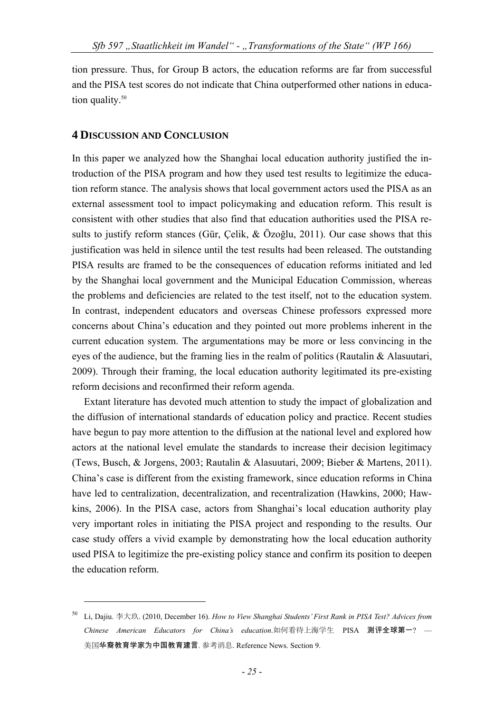tion pressure. Thus, for Group B actors, the education reforms are far from successful and the PISA test scores do not indicate that China outperformed other nations in education quality.<sup>50</sup>

#### **4 DISCUSSION AND CONCLUSION**

1

In this paper we analyzed how the Shanghai local education authority justified the introduction of the PISA program and how they used test results to legitimize the education reform stance. The analysis shows that local government actors used the PISA as an external assessment tool to impact policymaking and education reform. This result is consistent with other studies that also find that education authorities used the PISA results to justify reform stances (Gür, Çelik, & Özoğlu, 2011). Our case shows that this justification was held in silence until the test results had been released. The outstanding PISA results are framed to be the consequences of education reforms initiated and led by the Shanghai local government and the Municipal Education Commission, whereas the problems and deficiencies are related to the test itself, not to the education system. In contrast, independent educators and overseas Chinese professors expressed more concerns about China's education and they pointed out more problems inherent in the current education system. The argumentations may be more or less convincing in the eyes of the audience, but the framing lies in the realm of politics (Rautalin & Alasuutari, 2009). Through their framing, the local education authority legitimated its pre-existing reform decisions and reconfirmed their reform agenda.

Extant literature has devoted much attention to study the impact of globalization and the diffusion of international standards of education policy and practice. Recent studies have begun to pay more attention to the diffusion at the national level and explored how actors at the national level emulate the standards to increase their decision legitimacy (Tews, Busch, & Jorgens, 2003; Rautalin & Alasuutari, 2009; Bieber & Martens, 2011). China's case is different from the existing framework, since education reforms in China have led to centralization, decentralization, and recentralization (Hawkins, 2000; Hawkins, 2006). In the PISA case, actors from Shanghai's local education authority play very important roles in initiating the PISA project and responding to the results. Our case study offers a vivid example by demonstrating how the local education authority used PISA to legitimize the pre-existing policy stance and confirm its position to deepen the education reform.

<sup>50</sup> Li, Dajiu. 李大玖. (2010, December 16). *How to View Shanghai Students' First Rank in PISA Test? Advices from Chinese American Educators for China's education*.如何看待上海学生 PISA 测评全球第一? — 美国华裔教育学家为中国教育建言. 参考消息. Reference News. Section 9.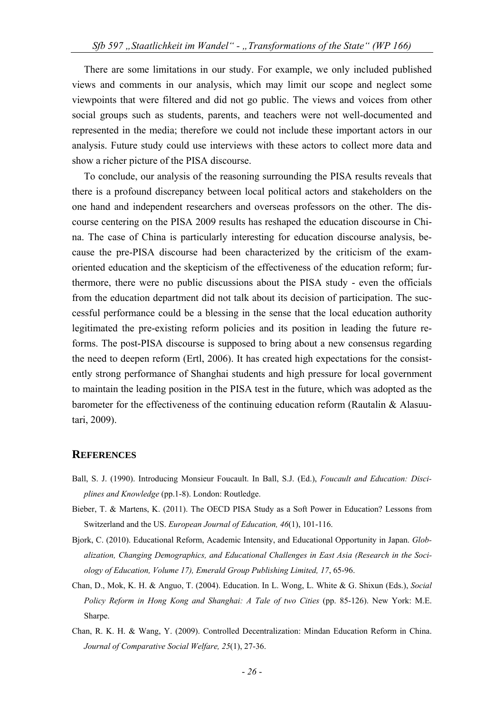There are some limitations in our study. For example, we only included published views and comments in our analysis, which may limit our scope and neglect some viewpoints that were filtered and did not go public. The views and voices from other social groups such as students, parents, and teachers were not well-documented and represented in the media; therefore we could not include these important actors in our analysis. Future study could use interviews with these actors to collect more data and show a richer picture of the PISA discourse.

To conclude, our analysis of the reasoning surrounding the PISA results reveals that there is a profound discrepancy between local political actors and stakeholders on the one hand and independent researchers and overseas professors on the other. The discourse centering on the PISA 2009 results has reshaped the education discourse in China. The case of China is particularly interesting for education discourse analysis, because the pre-PISA discourse had been characterized by the criticism of the examoriented education and the skepticism of the effectiveness of the education reform; furthermore, there were no public discussions about the PISA study - even the officials from the education department did not talk about its decision of participation. The successful performance could be a blessing in the sense that the local education authority legitimated the pre-existing reform policies and its position in leading the future reforms. The post-PISA discourse is supposed to bring about a new consensus regarding the need to deepen reform (Ertl, 2006). It has created high expectations for the consistently strong performance of Shanghai students and high pressure for local government to maintain the leading position in the PISA test in the future, which was adopted as the barometer for the effectiveness of the continuing education reform (Rautalin & Alasuutari, 2009).

#### **REFERENCES**

- Ball, S. J. (1990). Introducing Monsieur Foucault. In Ball, S.J. (Ed.), *Foucault and Education: Disciplines and Knowledge* (pp.1-8). London: Routledge.
- Bieber, T. & Martens, K. (2011). The OECD PISA Study as a Soft Power in Education? Lessons from Switzerland and the US. *European Journal of Education, 46*(1), 101-116.
- Bjork, C. (2010). Educational Reform, Academic Intensity, and Educational Opportunity in Japan. *Globalization, Changing Demographics, and Educational Challenges in East Asia (Research in the Sociology of Education, Volume 17), Emerald Group Publishing Limited, 17*, 65-96.
- Chan, D., Mok, K. H. & Anguo, T. (2004). Education. In L. Wong, L. White & G. Shixun (Eds.), *Social Policy Reform in Hong Kong and Shanghai: A Tale of two Cities* (pp. 85-126). New York: M.E. Sharpe.
- Chan, R. K. H. & Wang, Y. (2009). Controlled Decentralization: Mindan Education Reform in China. *Journal of Comparative Social Welfare, 25*(1), 27-36.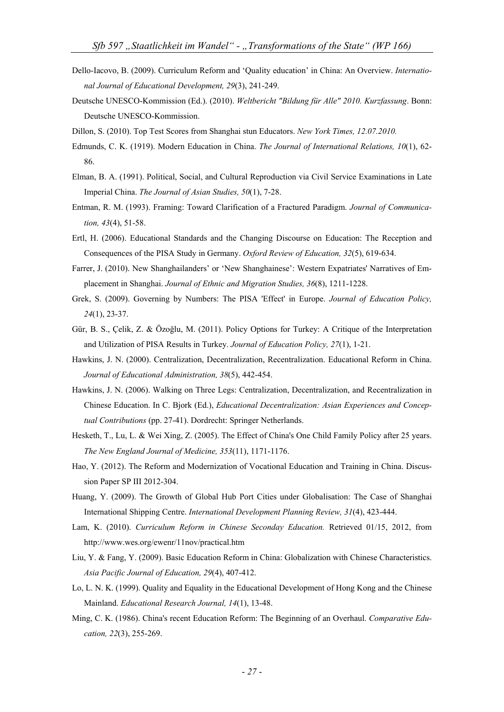- Dello-Iacovo, B. (2009). Curriculum Reform and 'Quality education' in China: An Overview. *International Journal of Educational Development, 29*(3), 241-249.
- Deutsche UNESCO-Kommission (Ed.). (2010). *Weltbericht "Bildung für Alle" 2010. Kurzfassung*. Bonn: Deutsche UNESCO-Kommission.
- Dillon, S. (2010). Top Test Scores from Shanghai stun Educators. *New York Times, 12.07.2010.*
- Edmunds, C. K. (1919). Modern Education in China. *The Journal of International Relations, 10*(1), 62- 86.
- Elman, B. A. (1991). Political, Social, and Cultural Reproduction via Civil Service Examinations in Late Imperial China. *The Journal of Asian Studies, 50*(1), 7-28.
- Entman, R. M. (1993). Framing: Toward Clarification of a Fractured Paradigm. *Journal of Communication, 43*(4), 51-58.
- Ertl, H. (2006). Educational Standards and the Changing Discourse on Education: The Reception and Consequences of the PISA Study in Germany. *Oxford Review of Education, 32*(5), 619-634.
- Farrer, J. (2010). New Shanghailanders' or 'New Shanghainese': Western Expatriates' Narratives of Emplacement in Shanghai. *Journal of Ethnic and Migration Studies, 36*(8), 1211-1228.
- Grek, S. (2009). Governing by Numbers: The PISA 'Effect' in Europe. *Journal of Education Policy, 24*(1), 23-37.
- Gür, B. S., Çelik, Z. & Özoğlu, M. (2011). Policy Options for Turkey: A Critique of the Interpretation and Utilization of PISA Results in Turkey. *Journal of Education Policy, 27*(1), 1-21.
- Hawkins, J. N. (2000). Centralization, Decentralization, Recentralization. Educational Reform in China. *Journal of Educational Administration, 38*(5), 442-454.
- Hawkins, J. N. (2006). Walking on Three Legs: Centralization, Decentralization, and Recentralization in Chinese Education. In C. Bjork (Ed.), *Educational Decentralization: Asian Experiences and Conceptual Contributions* (pp. 27-41). Dordrecht: Springer Netherlands.
- Hesketh, T., Lu, L. & Wei Xing, Z. (2005). The Effect of China's One Child Family Policy after 25 years. *The New England Journal of Medicine, 353*(11), 1171-1176.
- Hao, Y. (2012). The Reform and Modernization of Vocational Education and Training in China. Discussion Paper SP III 2012-304.
- Huang, Y. (2009). The Growth of Global Hub Port Cities under Globalisation: The Case of Shanghai International Shipping Centre. *International Development Planning Review, 31*(4), 423-444.
- Lam, K. (2010). *Curriculum Reform in Chinese Seconday Education.* Retrieved 01/15, 2012, from http://www.wes.org/ewenr/11nov/practical.htm
- Liu, Y. & Fang, Y. (2009). Basic Education Reform in China: Globalization with Chinese Characteristics. *Asia Pacific Journal of Education, 29*(4), 407-412.
- Lo, L. N. K. (1999). Quality and Equality in the Educational Development of Hong Kong and the Chinese Mainland. *Educational Research Journal, 14*(1), 13-48.
- Ming, C. K. (1986). China's recent Education Reform: The Beginning of an Overhaul. *Comparative Education, 22*(3), 255-269.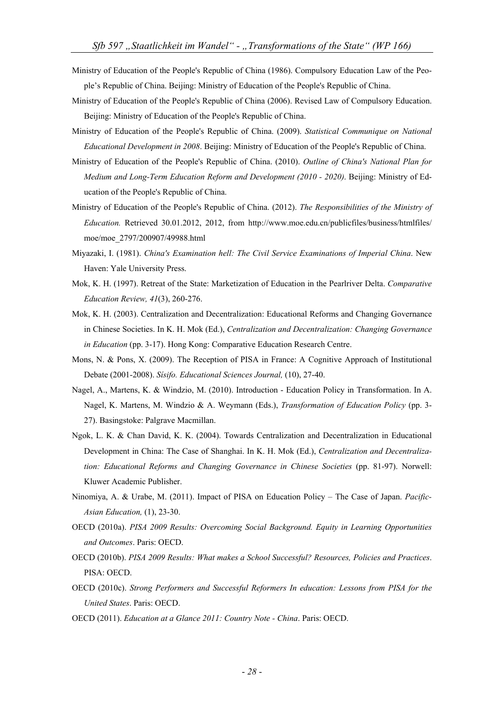- Ministry of Education of the People's Republic of China (1986). Compulsory Education Law of the People's Republic of China. Beijing: Ministry of Education of the People's Republic of China.
- Ministry of Education of the People's Republic of China (2006). Revised Law of Compulsory Education. Beijing: Ministry of Education of the People's Republic of China.
- Ministry of Education of the People's Republic of China. (2009). *Statistical Communique on National Educational Development in 2008*. Beijing: Ministry of Education of the People's Republic of China.
- Ministry of Education of the People's Republic of China. (2010). *Outline of China's National Plan for Medium and Long-Term Education Reform and Development (2010 - 2020)*. Beijing: Ministry of Education of the People's Republic of China.
- Ministry of Education of the People's Republic of China. (2012). *The Responsibilities of the Ministry of Education.* Retrieved 30.01.2012, 2012, from http://www.moe.edu.cn/publicfiles/business/htmlfiles/ moe/moe\_2797/200907/49988.html
- Miyazaki, I. (1981). *China's Examination hell: The Civil Service Examinations of Imperial China*. New Haven: Yale University Press.
- Mok, K. H. (1997). Retreat of the State: Marketization of Education in the Pearlriver Delta. *Comparative Education Review, 41*(3), 260-276.
- Mok, K. H. (2003). Centralization and Decentralization: Educational Reforms and Changing Governance in Chinese Societies. In K. H. Mok (Ed.), *Centralization and Decentralization: Changing Governance in Education* (pp. 3-17). Hong Kong: Comparative Education Research Centre.
- Mons, N. & Pons, X. (2009). The Reception of PISA in France: A Cognitive Approach of Institutional Debate (2001-2008). *Sísifo. Educational Sciences Journal,* (10), 27-40.
- Nagel, A., Martens, K. & Windzio, M. (2010). Introduction Education Policy in Transformation. In A. Nagel, K. Martens, M. Windzio & A. Weymann (Eds.), *Transformation of Education Policy* (pp. 3- 27). Basingstoke: Palgrave Macmillan.
- Ngok, L. K. & Chan David, K. K. (2004). Towards Centralization and Decentralization in Educational Development in China: The Case of Shanghai. In K. H. Mok (Ed.), *Centralization and Decentralization: Educational Reforms and Changing Governance in Chinese Societies* (pp. 81-97). Norwell: Kluwer Academic Publisher.
- Ninomiya, A. & Urabe, M. (2011). Impact of PISA on Education Policy The Case of Japan. *Pacific-Asian Education,* (1), 23-30.
- OECD (2010a). *PISA 2009 Results: Overcoming Social Background. Equity in Learning Opportunities and Outcomes*. Paris: OECD.
- OECD (2010b). *PISA 2009 Results: What makes a School Successful? Resources, Policies and Practices*. PISA: OECD.
- OECD (2010c). *Strong Performers and Successful Reformers In education: Lessons from PISA for the United States*. Paris: OECD.
- OECD (2011). *Education at a Glance 2011: Country Note China*. Paris: OECD.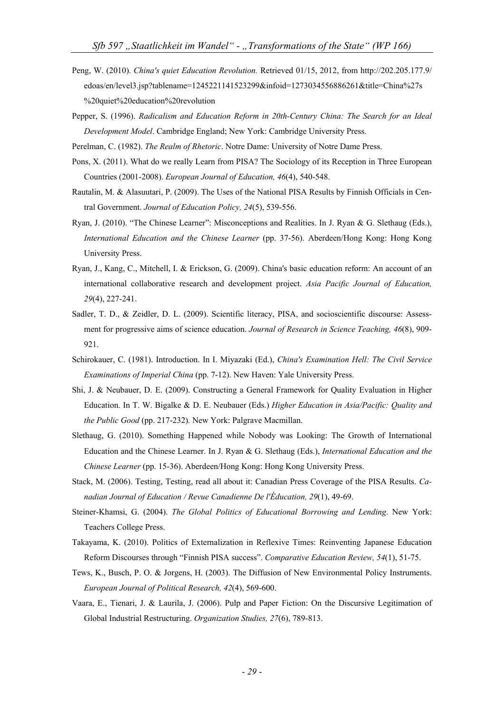- Peng, W. (2010). *China's quiet Education Revolution.* Retrieved 01/15, 2012, from http://202.205.177.9/ edoas/en/level3.jsp?tablename=1245221141523299&infoid=1273034556886261&title=China%27s %20quiet%20education%20revolution
- Pepper, S. (1996). *Radicalism and Education Reform in 20th-Century China: The Search for an Ideal Development Model*. Cambridge England; New York: Cambridge University Press.
- Perelman, C. (1982). *The Realm of Rhetoric*. Notre Dame: University of Notre Dame Press.
- Pons, X. (2011). What do we really Learn from PISA? The Sociology of its Reception in Three European Countries (2001-2008). *European Journal of Education, 46*(4), 540-548.
- Rautalin, M. & Alasuutari, P. (2009). The Uses of the National PISA Results by Finnish Officials in Central Government. *Journal of Education Policy, 24*(5), 539-556.
- Ryan, J. (2010). "The Chinese Learner": Misconceptions and Realities. In J. Ryan & G. Slethaug (Eds.), *International Education and the Chinese Learner* (pp. 37-56). Aberdeen/Hong Kong: Hong Kong University Press.
- Ryan, J., Kang, C., Mitchell, I. & Erickson, G. (2009). China's basic education reform: An account of an international collaborative research and development project. *Asia Pacific Journal of Education, 29*(4), 227-241.
- Sadler, T. D., & Zeidler, D. L. (2009). Scientific literacy, PISA, and socioscientific discourse: Assessment for progressive aims of science education. *Journal of Research in Science Teaching, 46*(8), 909- 921.
- Schirokauer, C. (1981). Introduction. In I. Miyazaki (Ed.), *China's Examination Hell: The Civil Service Examinations of Imperial China* (pp. 7-12). New Haven: Yale University Press.
- Shi, J. & Neubauer, D. E. (2009). Constructing a General Framework for Quality Evaluation in Higher Education. In T. W. Bigalke & D. E. Neubauer (Eds.) *Higher Education in Asia/Pacific: Quality and the Public Good* (pp. 217-232)*.* New York: Palgrave Macmillan.
- Slethaug, G. (2010). Something Happened while Nobody was Looking: The Growth of International Education and the Chinese Learner. In J. Ryan & G. Slethaug (Eds.), *International Education and the Chinese Learner* (pp. 15-36). Aberdeen/Hong Kong: Hong Kong University Press.
- Stack, M. (2006). Testing, Testing, read all about it: Canadian Press Coverage of the PISA Results. *Canadian Journal of Education / Revue Canadienne De l'Éducation, 29*(1), 49-69.
- Steiner-Khamsi, G. (2004). *The Global Politics of Educational Borrowing and Lending*. New York: Teachers College Press.
- Takayama, K. (2010). Politics of Externalization in Reflexive Times: Reinventing Japanese Education Reform Discourses through "Finnish PISA success". *Comparative Education Review, 54*(1), 51-75.
- Tews, K., Busch, P. O. & Jorgens, H. (2003). The Diffusion of New Environmental Policy Instruments. *European Journal of Political Research, 42*(4), 569-600.
- Vaara, E., Tienari, J. & Laurila, J. (2006). Pulp and Paper Fiction: On the Discursive Legitimation of Global Industrial Restructuring. *Organization Studies, 27*(6), 789-813.